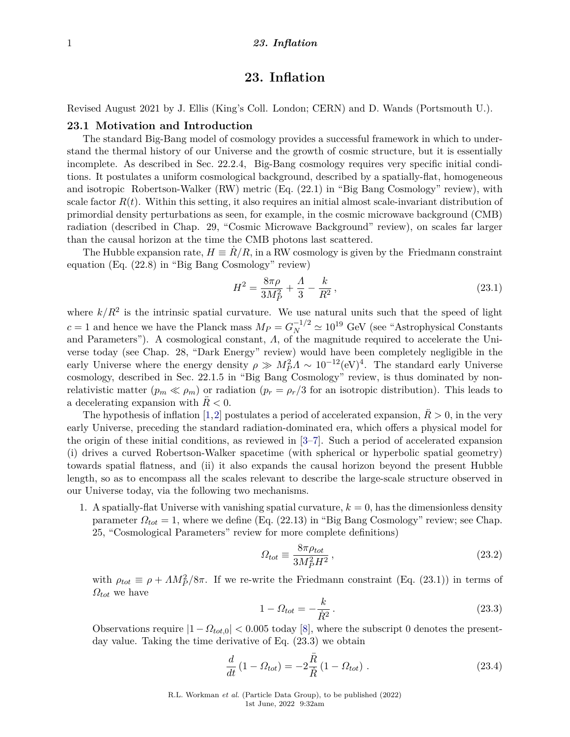Revised August 2021 by J. Ellis (King's Coll. London; CERN) and D. Wands (Portsmouth U.).

## **23.1 Motivation and Introduction**

The standard Big-Bang model of cosmology provides a successful framework in which to understand the thermal history of our Universe and the growth of cosmic structure, but it is essentially incomplete. As described in Sec. 22.2.4, Big-Bang cosmology requires very specific initial conditions. It postulates a uniform cosmological background, described by a spatially-flat, homogeneous and isotropic Robertson-Walker (RW) metric (Eq. (22.1) in "Big Bang Cosmology" review), with scale factor  $R(t)$ . Within this setting, it also requires an initial almost scale-invariant distribution of primordial density perturbations as seen, for example, in the cosmic microwave background (CMB) radiation (described in Chap. 29, "Cosmic Microwave Background" review), on scales far larger than the causal horizon at the time the CMB photons last scattered.

The Hubble expansion rate,  $H = \dot{R}/R$ , in a RW cosmology is given by the Friedmann constraint equation (Eq. (22.8) in "Big Bang Cosmology" review)

$$
H^2 = \frac{8\pi\rho}{3M_P^2} + \frac{\Lambda}{3} - \frac{k}{R^2},\tag{23.1}
$$

where  $k/R^2$  is the intrinsic spatial curvature. We use natural units such that the speed of light  $c = 1$  and hence we have the Planck mass  $M_P = G_N^{-1/2} \simeq 10^{19}$  GeV (see "Astrophysical Constants") and Parameters"). A cosmological constant, *Λ*, of the magnitude required to accelerate the Universe today (see Chap. 28, "Dark Energy" review) would have been completely negligible in the early Universe where the energy density  $\rho \gg M_P^2 \Lambda \sim 10^{-12} (\text{eV})^4$ . The standard early Universe cosmology, described in Sec. 22.1.5 in "Big Bang Cosmology" review, is thus dominated by nonrelativistic matter  $(p_m \ll \rho_m)$  or radiation  $(p_r = \rho_r/3$  for an isotropic distribution). This leads to a decelerating expansion with  $R < 0$ .

The hypothesis of inflation [\[1,](#page-27-0)[2\]](#page-27-1) postulates a period of accelerated expansion,  $R > 0$ , in the very early Universe, preceding the standard radiation-dominated era, which offers a physical model for the origin of these initial conditions, as reviewed in [\[3–](#page-27-2)[7\]](#page-27-3). Such a period of accelerated expansion (i) drives a curved Robertson-Walker spacetime (with spherical or hyperbolic spatial geometry) towards spatial flatness, and (ii) it also expands the causal horizon beyond the present Hubble length, so as to encompass all the scales relevant to describe the large-scale structure observed in our Universe today, via the following two mechanisms.

1. A spatially-flat Universe with vanishing spatial curvature,  $k = 0$ , has the dimensionless density parameter  $\Omega_{tot} = 1$ , where we define (Eq. (22.13) in "Big Bang Cosmology" review; see Chap. 25, "Cosmological Parameters" review for more complete definitions)

$$
\Omega_{tot} \equiv \frac{8\pi\rho_{tot}}{3M_P^2H^2},\tag{23.2}
$$

with  $\rho_{tot} \equiv \rho + AM_P^2/8\pi$ . If we re-write the Friedmann constraint (Eq. (23.1)) in terms of *Ωtot* we have

$$
1 - \Omega_{tot} = -\frac{k}{\dot{R}^2} \,. \tag{23.3}
$$

Observations require  $|1-\Omega_{tot,0}| < 0.005$  today [\[8\]](#page-27-4), where the subscript 0 denotes the presentday value. Taking the time derivative of Eq. (23.3) we obtain

$$
\frac{d}{dt} (1 - \Omega_{tot}) = -2 \frac{\ddot{R}}{\dot{R}} (1 - \Omega_{tot}) .
$$
\n(23.4)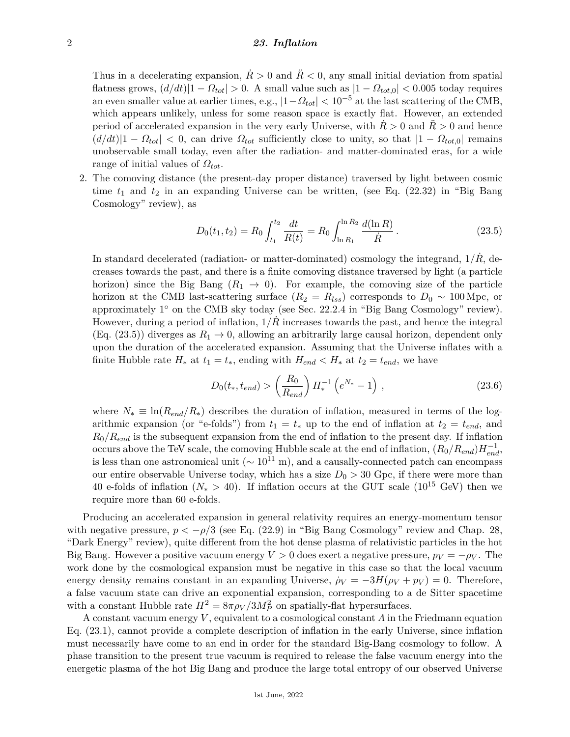Thus in a decelerating expansion,  $\dot{R} > 0$  and  $\ddot{R} < 0$ , any small initial deviation from spatial flatness grows,  $(d/dt)|1 - \Omega_{tot}| > 0$ . A small value such as  $|1 - \Omega_{tot,0}| < 0.005$  today requires an even smaller value at earlier times, e.g.,  $|1-\Omega_{tot}| < 10^{-5}$  at the last scattering of the CMB, which appears unlikely, unless for some reason space is exactly flat. However, an extended period of accelerated expansion in the very early Universe, with  $R > 0$  and  $R > 0$  and hence  $(d/dt)|1 - \Omega_{tot}| < 0$ , can drive  $\Omega_{tot}$  sufficiently close to unity, so that  $|1 - \Omega_{tot,0}|$  remains unobservable small today, even after the radiation- and matter-dominated eras, for a wide range of initial values of *Ωtot*.

2. The comoving distance (the present-day proper distance) traversed by light between cosmic time *t*<sup>1</sup> and *t*<sup>2</sup> in an expanding Universe can be written, (see Eq. (22.32) in "Big Bang Cosmology" review), as

$$
D_0(t_1, t_2) = R_0 \int_{t_1}^{t_2} \frac{dt}{R(t)} = R_0 \int_{\ln R_1}^{\ln R_2} \frac{d(\ln R)}{\dot{R}}.
$$
 (23.5)

In standard decelerated (radiation- or matter-dominated) cosmology the integrand,  $1/\dot{R}$ , decreases towards the past, and there is a finite comoving distance traversed by light (a particle horizon) since the Big Bang  $(R_1 \rightarrow 0)$ . For example, the comoving size of the particle horizon at the CMB last-scattering surface  $(R_2 = R_{lss})$  corresponds to  $D_0 \sim 100 \,\text{Mpc}$ , or approximately 1° on the CMB sky today (see Sec. 22.2.4 in "Big Bang Cosmology" review). However, during a period of inflation,  $1/\dot{R}$  increases towards the past, and hence the integral (Eq. (23.5)) diverges as  $R_1 \rightarrow 0$ , allowing an arbitrarily large causal horizon, dependent only upon the duration of the accelerated expansion. Assuming that the Universe inflates with a finite Hubble rate  $H_*$  at  $t_1 = t_*$ , ending with  $H_{end} < H_*$  at  $t_2 = t_{end}$ , we have

$$
D_0(t_*, t_{end}) > \left(\frac{R_0}{R_{end}}\right) H_*^{-1} \left(e^{N_*} - 1\right) ,
$$
\n(23.6)

where  $N_* \equiv \ln(R_{end}/R_*)$  describes the duration of inflation, measured in terms of the logarithmic expansion (or "e-folds") from  $t_1 = t_*$  up to the end of inflation at  $t_2 = t_{end}$ , and *R*0*/Rend* is the subsequent expansion from the end of inflation to the present day. If inflation occurs above the TeV scale, the comoving Hubble scale at the end of inflation,  $(R_0/R_{end})H_{end}^{-1}$ is less than one astronomical unit ( $\sim 10^{11}$  m), and a causally-connected patch can encompass our entire observable Universe today, which has a size  $D_0 > 30$  Gpc, if there were more than 40 e-folds of inflation ( $N_* > 40$ ). If inflation occurs at the GUT scale (10<sup>15</sup> GeV) then we require more than 60 e-folds.

Producing an accelerated expansion in general relativity requires an energy-momentum tensor with negative pressure,  $p < -\rho/3$  (see Eq. (22.9) in "Big Bang Cosmology" review and Chap. 28, "Dark Energy" review), quite different from the hot dense plasma of relativistic particles in the hot Big Bang. However a positive vacuum energy  $V > 0$  does exert a negative pressure,  $p_V = -\rho_V$ . The work done by the cosmological expansion must be negative in this case so that the local vacuum energy density remains constant in an expanding Universe,  $\rho_V = -3H(\rho_V + p_V) = 0$ . Therefore, a false vacuum state can drive an exponential expansion, corresponding to a de Sitter spacetime with a constant Hubble rate  $H^2 = 8\pi \rho V / 3M_P^2$  on spatially-flat hypersurfaces.

A constant vacuum energy *V* , equivalent to a cosmological constant *Λ* in the Friedmann equation Eq. (23.1), cannot provide a complete description of inflation in the early Universe, since inflation must necessarily have come to an end in order for the standard Big-Bang cosmology to follow. A phase transition to the present true vacuum is required to release the false vacuum energy into the energetic plasma of the hot Big Bang and produce the large total entropy of our observed Universe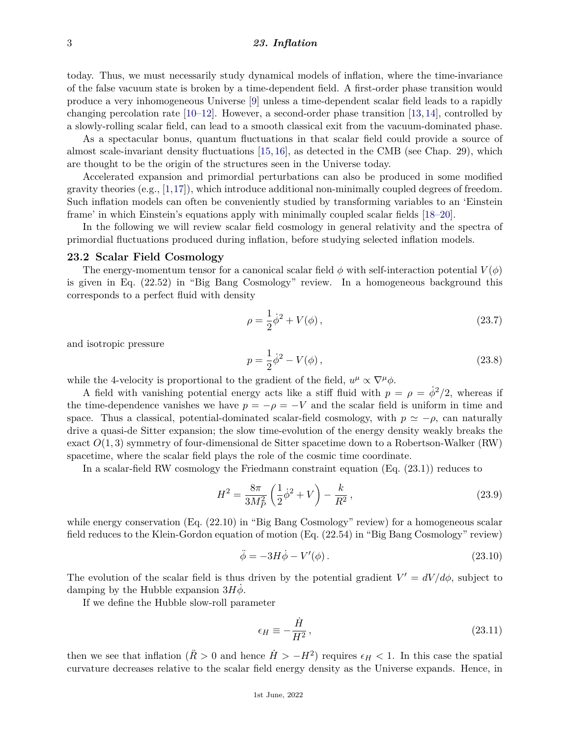today. Thus, we must necessarily study dynamical models of inflation, where the time-invariance of the false vacuum state is broken by a time-dependent field. A first-order phase transition would produce a very inhomogeneous Universe [\[9\]](#page-27-5) unless a time-dependent scalar field leads to a rapidly changing percolation rate  $[10-12]$  $[10-12]$ . However, a second-order phase transition  $[13, 14]$  $[13, 14]$  $[13, 14]$ , controlled by a slowly-rolling scalar field, can lead to a smooth classical exit from the vacuum-dominated phase.

As a spectacular bonus, quantum fluctuations in that scalar field could provide a source of almost scale-invariant density fluctuations [\[15,](#page-27-10) [16\]](#page-27-11), as detected in the CMB (see Chap. 29), which are thought to be the origin of the structures seen in the Universe today.

Accelerated expansion and primordial perturbations can also be produced in some modified gravity theories  $(e.g., [1,17])$  $(e.g., [1,17])$  $(e.g., [1,17])$  $(e.g., [1,17])$ , which introduce additional non-minimally coupled degrees of freedom. Such inflation models can often be conveniently studied by transforming variables to an 'Einstein frame' in which Einstein's equations apply with minimally coupled scalar fields [\[18–](#page-27-13)[20\]](#page-27-14).

In the following we will review scalar field cosmology in general relativity and the spectra of primordial fluctuations produced during inflation, before studying selected inflation models.

#### **23.2 Scalar Field Cosmology**

The energy-momentum tensor for a canonical scalar field  $\phi$  with self-interaction potential  $V(\phi)$ is given in Eq. (22.52) in "Big Bang Cosmology" review. In a homogeneous background this corresponds to a perfect fluid with density

$$
\rho = \frac{1}{2}\dot{\phi}^2 + V(\phi),
$$
\n(23.7)

and isotropic pressure

$$
p = \frac{1}{2}\dot{\phi}^2 - V(\phi),
$$
 (23.8)

while the 4-velocity is proportional to the gradient of the field,  $u^{\mu} \propto \nabla^{\mu} \phi$ .

A field with vanishing potential energy acts like a stiff fluid with  $p = \rho = \dot{\phi}^2/2$ , whereas if the time-dependence vanishes we have  $p = -\rho = -V$  and the scalar field is uniform in time and space. Thus a classical, potential-dominated scalar-field cosmology, with  $p \simeq -\rho$ , can naturally drive a quasi-de Sitter expansion; the slow time-evolution of the energy density weakly breaks the exact  $O(1,3)$  symmetry of four-dimensional de Sitter spacetime down to a Robertson-Walker (RW) spacetime, where the scalar field plays the role of the cosmic time coordinate.

In a scalar-field RW cosmology the Friedmann constraint equation (Eq. (23.1)) reduces to

$$
H^{2} = \frac{8\pi}{3M_{P}^{2}} \left(\frac{1}{2}\dot{\phi}^{2} + V\right) - \frac{k}{R^{2}},
$$
\n(23.9)

while energy conservation (Eq. (22.10) in "Big Bang Cosmology" review) for a homogeneous scalar field reduces to the Klein-Gordon equation of motion (Eq. (22.54) in "Big Bang Cosmology" review)

$$
\ddot{\phi} = -3H\dot{\phi} - V'(\phi). \tag{23.10}
$$

The evolution of the scalar field is thus driven by the potential gradient  $V' = dV/d\phi$ , subject to damping by the Hubble expansion  $3H\dot{\phi}$ .

If we define the Hubble slow-roll parameter

$$
\epsilon_H \equiv -\frac{\dot{H}}{H^2},\tag{23.11}
$$

then we see that inflation  $(R > 0$  and hence  $\dot{H} > -H^2$ ) requires  $\epsilon_H < 1$ . In this case the spatial curvature decreases relative to the scalar field energy density as the Universe expands. Hence, in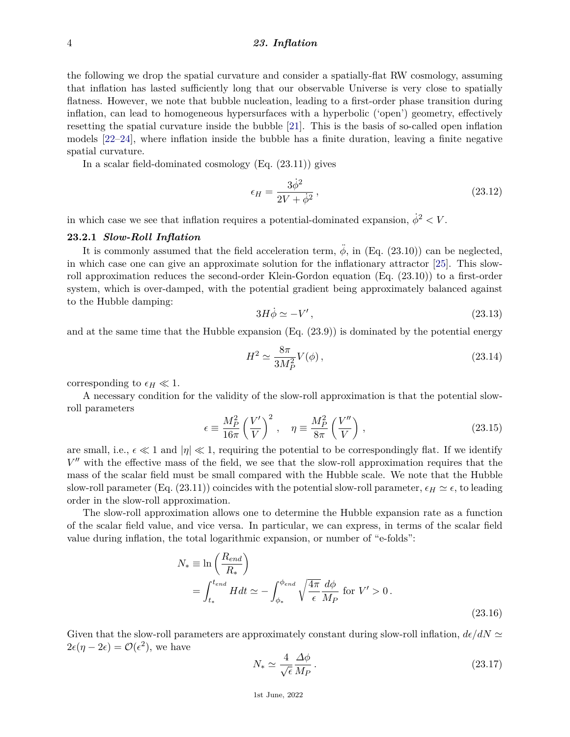the following we drop the spatial curvature and consider a spatially-flat RW cosmology, assuming that inflation has lasted sufficiently long that our observable Universe is very close to spatially flatness. However, we note that bubble nucleation, leading to a first-order phase transition during inflation, can lead to homogeneous hypersurfaces with a hyperbolic ('open') geometry, effectively resetting the spatial curvature inside the bubble [\[21\]](#page-27-15). This is the basis of so-called open inflation models [\[22–](#page-27-16)[24\]](#page-27-17), where inflation inside the bubble has a finite duration, leaving a finite negative spatial curvature.

In a scalar field-dominated cosmology (Eq. (23.11)) gives

$$
\epsilon_H = \frac{3\dot{\phi}^2}{2V + \dot{\phi}^2},\tag{23.12}
$$

in which case we see that inflation requires a potential-dominated expansion,  $\dot{\phi}^2 < V$ .

## **23.2.1** *Slow-Roll Inflation*

It is commonly assumed that the field acceleration term,  $\ddot{\phi}$ , in (Eq. (23.10)) can be neglected. in which case one can give an approximate solution for the inflationary attractor [\[25\]](#page-27-18). This slowroll approximation reduces the second-order Klein-Gordon equation (Eq. (23.10)) to a first-order system, which is over-damped, with the potential gradient being approximately balanced against to the Hubble damping:

$$
3H\dot{\phi} \simeq -V',\tag{23.13}
$$

and at the same time that the Hubble expansion  $(Eq. (23.9))$  is dominated by the potential energy

$$
H^2 \simeq \frac{8\pi}{3M_P^2} V(\phi) \,, \tag{23.14}
$$

corresponding to  $\epsilon_H \ll 1$ .

A necessary condition for the validity of the slow-roll approximation is that the potential slowroll parameters

$$
\epsilon \equiv \frac{M_P^2}{16\pi} \left(\frac{V'}{V}\right)^2 , \quad \eta \equiv \frac{M_P^2}{8\pi} \left(\frac{V''}{V}\right) , \tag{23.15}
$$

are small, i.e.,  $\epsilon \ll 1$  and  $|\eta| \ll 1$ , requiring the potential to be correspondingly flat. If we identify  $V''$  with the effective mass of the field, we see that the slow-roll approximation requires that the mass of the scalar field must be small compared with the Hubble scale. We note that the Hubble slow-roll parameter (Eq. (23.11)) coincides with the potential slow-roll parameter,  $\epsilon_H \simeq \epsilon$ , to leading order in the slow-roll approximation.

The slow-roll approximation allows one to determine the Hubble expansion rate as a function of the scalar field value, and vice versa. In particular, we can express, in terms of the scalar field value during inflation, the total logarithmic expansion, or number of "e-folds":

$$
N_* \equiv \ln\left(\frac{R_{end}}{R_*}\right)
$$
  
=  $\int_{t_*}^{t_{end}} H dt \simeq -\int_{\phi_*}^{\phi_{end}} \sqrt{\frac{4\pi}{\epsilon}} \frac{d\phi}{M_P}$  for  $V' > 0$ . (23.16)

Given that the slow-roll parameters are approximately constant during slow-roll inflation,  $d\epsilon/dN \simeq$  $2\epsilon(\eta - 2\epsilon) = \mathcal{O}(\epsilon^2)$ , we have

$$
N_* \simeq \frac{4}{\sqrt{\epsilon}} \frac{\Delta \phi}{M_P} \,. \tag{23.17}
$$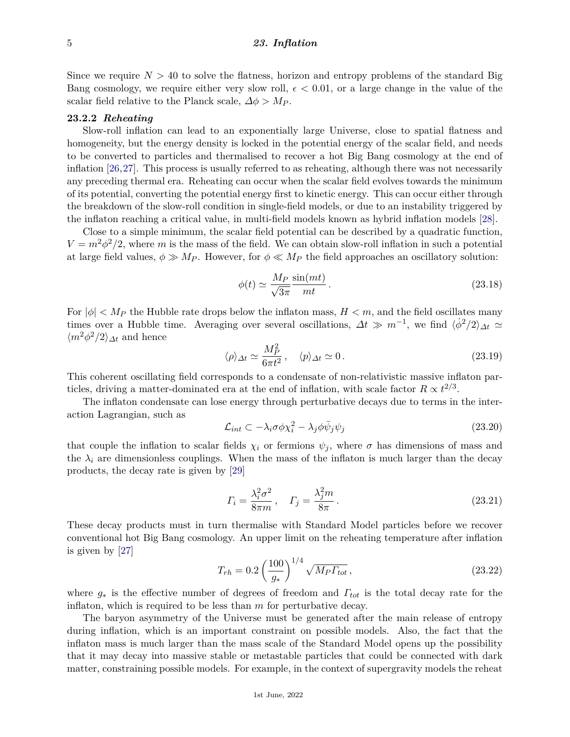Since we require  $N > 40$  to solve the flatness, horizon and entropy problems of the standard Big Bang cosmology, we require either very slow roll,  $\epsilon$  < 0.01, or a large change in the value of the scalar field relative to the Planck scale,  $\Delta \phi > M_P$ .

## **23.2.2** *Reheating*

Slow-roll inflation can lead to an exponentially large Universe, close to spatial flatness and homogeneity, but the energy density is locked in the potential energy of the scalar field, and needs to be converted to particles and thermalised to recover a hot Big Bang cosmology at the end of inflation [\[26,](#page-27-19)[27\]](#page-28-0). This process is usually referred to as reheating, although there was not necessarily any preceding thermal era. Reheating can occur when the scalar field evolves towards the minimum of its potential, converting the potential energy first to kinetic energy. This can occur either through the breakdown of the slow-roll condition in single-field models, or due to an instability triggered by the inflaton reaching a critical value, in multi-field models known as hybrid inflation models [\[28\]](#page-28-1).

Close to a simple minimum, the scalar field potential can be described by a quadratic function,  $V = m^2 \phi^2/2$ , where *m* is the mass of the field. We can obtain slow-roll inflation in such a potential at large field values,  $\phi \gg M_P$ . However, for  $\phi \ll M_P$  the field approaches an oscillatory solution:

$$
\phi(t) \simeq \frac{M_P}{\sqrt{3\pi}} \frac{\sin(mt)}{mt} \,. \tag{23.18}
$$

For  $|\phi|$  < M<sub>P</sub> the Hubble rate drops below the inflaton mass,  $H < m$ , and the field oscillates many times over a Hubble time. Averaging over several oscillations,  $\Delta t \gg m^{-1}$ , we find  $\langle \dot{\phi}^2/2 \rangle_{\Delta t} \simeq$  $\langle m^2 \phi^2 / 2 \rangle_{\Delta t}$  and hence

$$
\langle \rho \rangle_{\Delta t} \simeq \frac{M_P^2}{6\pi t^2}, \quad \langle p \rangle_{\Delta t} \simeq 0. \tag{23.19}
$$

This coherent oscillating field corresponds to a condensate of non-relativistic massive inflaton particles, driving a matter-dominated era at the end of inflation, with scale factor  $R \propto t^{2/3}$ .

The inflaton condensate can lose energy through perturbative decays due to terms in the interaction Lagrangian, such as

$$
\mathcal{L}_{int} \subset -\lambda_i \sigma \phi \chi_i^2 - \lambda_j \phi \bar{\psi}_j \psi_j \tag{23.20}
$$

that couple the inflation to scalar fields  $\chi_i$  or fermions  $\psi_i$ , where  $\sigma$  has dimensions of mass and the  $\lambda_i$  are dimensionless couplings. When the mass of the inflaton is much larger than the decay products, the decay rate is given by [\[29\]](#page-28-2)

$$
\Gamma_i = \frac{\lambda_i^2 \sigma^2}{8\pi m}, \quad \Gamma_j = \frac{\lambda_j^2 m}{8\pi}.
$$
\n(23.21)

These decay products must in turn thermalise with Standard Model particles before we recover conventional hot Big Bang cosmology. An upper limit on the reheating temperature after inflation is given by [\[27\]](#page-28-0)

$$
T_{rh} = 0.2 \left(\frac{100}{g_*}\right)^{1/4} \sqrt{M_P T_{tot}},\tag{23.22}
$$

where *g*<sup>∗</sup> is the effective number of degrees of freedom and *Γtot* is the total decay rate for the inflaton, which is required to be less than *m* for perturbative decay.

The baryon asymmetry of the Universe must be generated after the main release of entropy during inflation, which is an important constraint on possible models. Also, the fact that the inflaton mass is much larger than the mass scale of the Standard Model opens up the possibility that it may decay into massive stable or metastable particles that could be connected with dark matter, constraining possible models. For example, in the context of supergravity models the reheat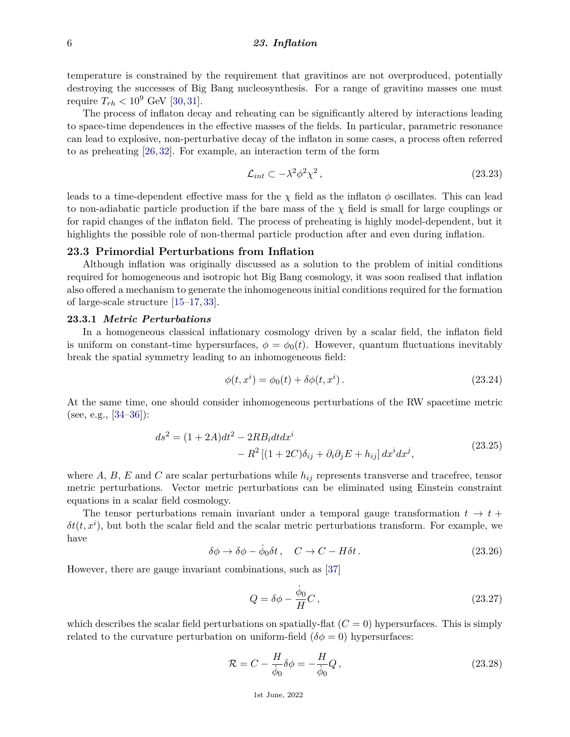temperature is constrained by the requirement that gravitinos are not overproduced, potentially destroying the successes of Big Bang nucleosynthesis. For a range of gravitino masses one must require  $T_{rh} < 10^9$  GeV [\[30,](#page-28-3) [31\]](#page-28-4).

The process of inflaton decay and reheating can be significantly altered by interactions leading to space-time dependences in the effective masses of the fields. In particular, parametric resonance can lead to explosive, non-perturbative decay of the inflaton in some cases, a process often referred to as preheating [\[26,](#page-27-19) [32\]](#page-28-5). For example, an interaction term of the form

$$
\mathcal{L}_{int} \subset -\lambda^2 \phi^2 \chi^2 \,, \tag{23.23}
$$

leads to a time-dependent effective mass for the  $\chi$  field as the inflaton  $\phi$  oscillates. This can lead to non-adiabatic particle production if the bare mass of the  $\chi$  field is small for large couplings or for rapid changes of the inflaton field. The process of preheating is highly model-dependent, but it highlights the possible role of non-thermal particle production after and even during inflation.

# **23.3 Primordial Perturbations from Inflation**

Although inflation was originally discussed as a solution to the problem of initial conditions required for homogeneous and isotropic hot Big Bang cosmology, it was soon realised that inflation also offered a mechanism to generate the inhomogeneous initial conditions required for the formation of large-scale structure [\[15](#page-27-10)[–17,](#page-27-12) [33\]](#page-28-6).

#### **23.3.1** *Metric Perturbations*

In a homogeneous classical inflationary cosmology driven by a scalar field, the inflaton field is uniform on constant-time hypersurfaces,  $\phi = \phi_0(t)$ . However, quantum fluctuations inevitably break the spatial symmetry leading to an inhomogeneous field:

$$
\phi(t, x^{i}) = \phi_0(t) + \delta\phi(t, x^{i}).
$$
\n(23.24)

At the same time, one should consider inhomogeneous perturbations of the RW spacetime metric (see, e.g., [\[34](#page-28-7)[–36\]](#page-28-8)):

$$
ds2 = (1 + 2A)dt2 - 2RBidt dxi
$$
  

$$
- R2 [(1 + 2C)\delta_{ij} + \partial_i \partial_j E + h_{ij}] dxi dxj,
$$
 (23.25)

where  $A, B, E$  and  $C$  are scalar perturbations while  $h_{ij}$  represents transverse and tracefree, tensor metric perturbations. Vector metric perturbations can be eliminated using Einstein constraint equations in a scalar field cosmology.

The tensor perturbations remain invariant under a temporal gauge transformation  $t \to t +$  $\delta t(t, x^i)$ , but both the scalar field and the scalar metric perturbations transform. For example, we have

$$
\delta\phi \to \delta\phi - \dot{\phi}_0 \delta t \,, \quad C \to C - H \delta t \,. \tag{23.26}
$$

However, there are gauge invariant combinations, such as [\[37\]](#page-28-9)

$$
Q = \delta\phi - \frac{\dot{\phi}_0}{H}C\,,\tag{23.27}
$$

which describes the scalar field perturbations on spatially-flat  $(C = 0)$  hypersurfaces. This is simply related to the curvature perturbation on uniform-field  $(\delta \phi = 0)$  hypersurfaces:

$$
\mathcal{R} = C - \frac{H}{\dot{\phi}_0} \delta \phi = -\frac{H}{\dot{\phi}_0} Q, \qquad (23.28)
$$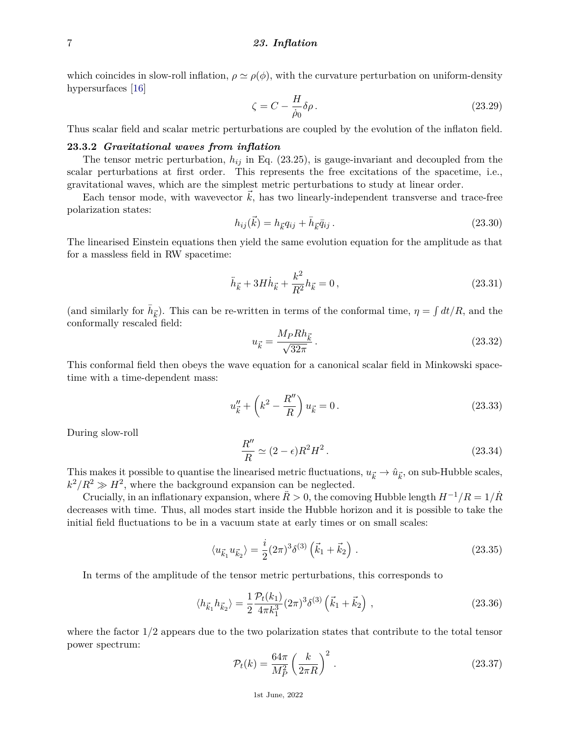which coincides in slow-roll inflation,  $\rho \simeq \rho(\phi)$ , with the curvature perturbation on uniform-density hypersurfaces [\[16\]](#page-27-11)

$$
\zeta = C - \frac{H}{\dot{\rho}_0} \delta \rho. \tag{23.29}
$$

Thus scalar field and scalar metric perturbations are coupled by the evolution of the inflaton field.

## **23.3.2** *Gravitational waves from inflation*

The tensor metric perturbation,  $h_{ij}$  in Eq. (23.25), is gauge-invariant and decoupled from the scalar perturbations at first order. This represents the free excitations of the spacetime, i.e., gravitational waves, which are the simplest metric perturbations to study at linear order.

Each tensor mode, with wavevector  $k$ , has two linearly-independent transverse and trace-free polarization states:

$$
h_{ij}(\vec{k}) = h_{\vec{k}}q_{ij} + \bar{h}_{\vec{k}}\bar{q}_{ij}.
$$
\n(23.30)

The linearised Einstein equations then yield the same evolution equation for the amplitude as that for a massless field in RW spacetime:

$$
\ddot{h}_{\vec{k}} + 3H\dot{h}_{\vec{k}} + \frac{k^2}{R^2}h_{\vec{k}} = 0, \qquad (23.31)
$$

(and similarly for  $\bar{h}_{\vec{k}}$ ). This can be re-written in terms of the conformal time,  $\eta = \int dt/R$ , and the conformally rescaled field:

$$
u_{\vec{k}} = \frac{M_P R h_{\vec{k}}}{\sqrt{32\pi}}.
$$
\n(23.32)

This conformal field then obeys the wave equation for a canonical scalar field in Minkowski spacetime with a time-dependent mass:

$$
u''_{\vec{k}} + \left(k^2 - \frac{R''}{R}\right)u_{\vec{k}} = 0.
$$
 (23.33)

During slow-roll

$$
\frac{R''}{R} \simeq (2 - \epsilon)R^2H^2. \tag{23.34}
$$

This makes it possible to quantise the linearised metric fluctuations,  $u_{\vec{k}} \to \hat{u}_{\vec{k}}$ , on sub-Hubble scales,  $k^2/R^2 \gg H^2$ , where the background expansion can be neglected.

Crucially, in an inflationary expansion, where  $\ddot{R} > 0$ , the comoving Hubble length  $H^{-1}/R = 1/\dot{R}$ decreases with time. Thus, all modes start inside the Hubble horizon and it is possible to take the initial field fluctuations to be in a vacuum state at early times or on small scales:

$$
\langle u_{\vec{k}_1} u_{\vec{k}_2} \rangle = \frac{i}{2} (2\pi)^3 \delta^{(3)} (\vec{k}_1 + \vec{k}_2) \ . \tag{23.35}
$$

In terms of the amplitude of the tensor metric perturbations, this corresponds to

$$
\langle h_{\vec{k}_1} h_{\vec{k}_2} \rangle = \frac{1}{2} \frac{\mathcal{P}_t(k_1)}{4\pi k_1^3} (2\pi)^3 \delta^{(3)} \left( \vec{k}_1 + \vec{k}_2 \right) , \qquad (23.36)
$$

where the factor 1*/*2 appears due to the two polarization states that contribute to the total tensor power spectrum:

$$
\mathcal{P}_t(k) = \frac{64\pi}{M_P^2} \left(\frac{k}{2\pi R}\right)^2.
$$
\n(23.37)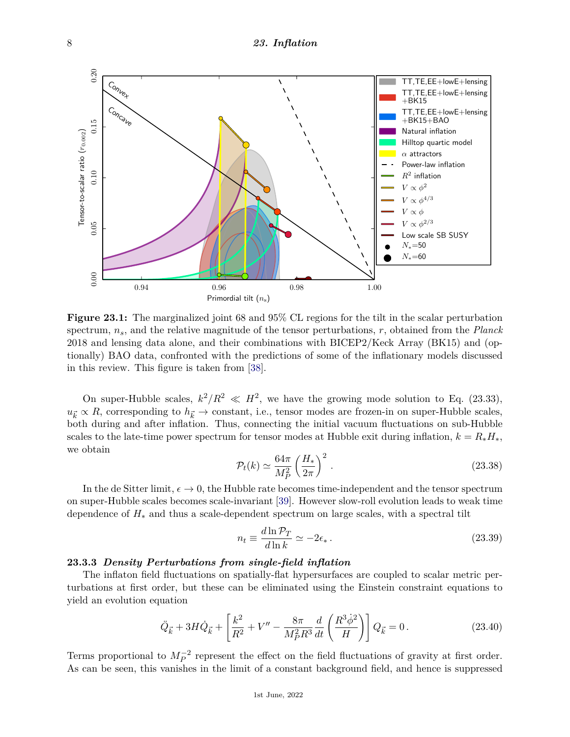

**Figure 23.1:** The marginalized joint 68 and 95% CL regions for the tilt in the scalar perturbation spectrum, *ns*, and the relative magnitude of the tensor perturbations, *r*, obtained from the *Planck* 2018 and lensing data alone, and their combinations with BICEP2/Keck Array (BK15) and (optionally) BAO data, confronted with the predictions of some of the inflationary models discussed in this review. This figure is taken from [\[38\]](#page-28-10).

On super-Hubble scales,  $k^2/R^2 \ll H^2$ , we have the growing mode solution to Eq. (23.33),  $u_{\vec{k}} \propto R$ , corresponding to  $h_{\vec{k}} \to$  constant, i.e., tensor modes are frozen-in on super-Hubble scales, both during and after inflation. Thus, connecting the initial vacuum fluctuations on sub-Hubble scales to the late-time power spectrum for tensor modes at Hubble exit during inflation,  $k = R_* H_*$ , we obtain

$$
\mathcal{P}_t(k) \simeq \frac{64\pi}{M_P^2} \left(\frac{H_*}{2\pi}\right)^2.
$$
\n(23.38)

In the de Sitter limit,  $\epsilon \to 0$ , the Hubble rate becomes time-independent and the tensor spectrum on super-Hubble scales becomes scale-invariant [\[39\]](#page-28-11). However slow-roll evolution leads to weak time dependence of *H*<sup>∗</sup> and thus a scale-dependent spectrum on large scales, with a spectral tilt

$$
n_t \equiv \frac{d \ln \mathcal{P}_T}{d \ln k} \simeq -2\epsilon_* \,. \tag{23.39}
$$

# **23.3.3** *Density Perturbations from single-field inflation*

The inflaton field fluctuations on spatially-flat hypersurfaces are coupled to scalar metric perturbations at first order, but these can be eliminated using the Einstein constraint equations to yield an evolution equation

$$
\ddot{Q}_{\vec{k}} + 3H\dot{Q}_{\vec{k}} + \left[\frac{k^2}{R^2} + V'' - \frac{8\pi}{M_P^2 R^3} \frac{d}{dt} \left(\frac{R^3 \dot{\phi}^2}{H}\right)\right] Q_{\vec{k}} = 0. \tag{23.40}
$$

Terms proportional to  $M_P^{-2}$  represent the effect on the field fluctuations of gravity at first order. As can be seen, this vanishes in the limit of a constant background field, and hence is suppressed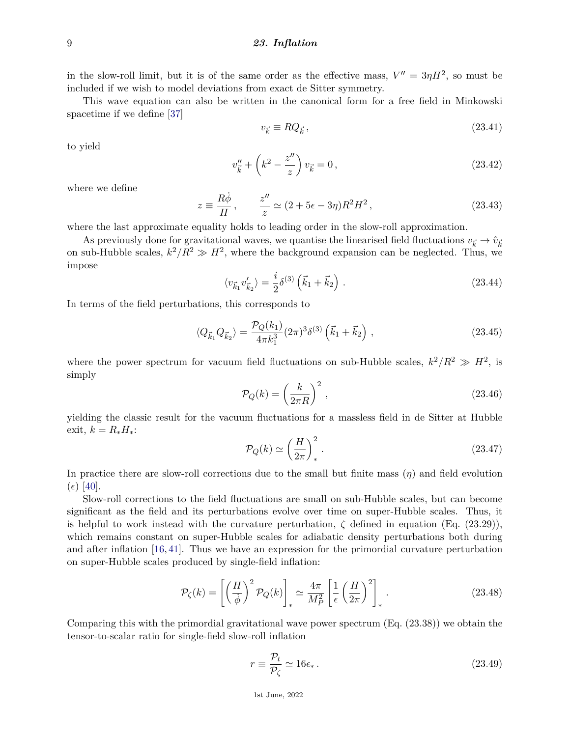in the slow-roll limit, but it is of the same order as the effective mass,  $V'' = 3\eta H^2$ , so must be included if we wish to model deviations from exact de Sitter symmetry.

This wave equation can also be written in the canonical form for a free field in Minkowski spacetime if we define [\[37\]](#page-28-9)

$$
v_{\vec{k}} \equiv RQ_{\vec{k}}\,,\tag{23.41}
$$

to yield

$$
v''_{\vec{k}} + \left(k^2 - \frac{z''}{z}\right)v_{\vec{k}} = 0, \qquad (23.42)
$$

where we define

$$
z \equiv \frac{R\dot{\phi}}{H}, \qquad \frac{z''}{z} \simeq (2 + 5\epsilon - 3\eta)R^2 H^2, \qquad (23.43)
$$

where the last approximate equality holds to leading order in the slow-roll approximation.

As previously done for gravitational waves, we quantise the linearised field fluctuations  $v_{\vec{k}} \to \hat{v}_{\vec{k}}$ on sub-Hubble scales,  $k^2/R^2 \gg H^2$ , where the background expansion can be neglected. Thus, we impose

$$
\langle v_{\vec{k}_1} v'_{\vec{k}_2} \rangle = \frac{i}{2} \delta^{(3)} (\vec{k}_1 + \vec{k}_2) \,. \tag{23.44}
$$

In terms of the field perturbations, this corresponds to

$$
\langle Q_{\vec{k}_1} Q_{\vec{k}_2} \rangle = \frac{\mathcal{P}_Q(k_1)}{4\pi k_1^3} (2\pi)^3 \delta^{(3)} \left( \vec{k}_1 + \vec{k}_2 \right) , \qquad (23.45)
$$

where the power spectrum for vacuum field fluctuations on sub-Hubble scales,  $k^2/R^2 \gg H^2$ , is simply

$$
\mathcal{P}_Q(k) = \left(\frac{k}{2\pi R}\right)^2,\tag{23.46}
$$

yielding the classic result for the vacuum fluctuations for a massless field in de Sitter at Hubble exit,  $k = R_* H_*$ :

$$
\mathcal{P}_Q(k) \simeq \left(\frac{H}{2\pi}\right)_*^2.
$$
\n(23.47)

In practice there are slow-roll corrections due to the small but finite mass (*η*) and field evolution  $(\epsilon)$  [\[40\]](#page-28-12).

Slow-roll corrections to the field fluctuations are small on sub-Hubble scales, but can become significant as the field and its perturbations evolve over time on super-Hubble scales. Thus, it is helpful to work instead with the curvature perturbation,  $\zeta$  defined in equation (Eq. (23.29)), which remains constant on super-Hubble scales for adiabatic density perturbations both during and after inflation [\[16,](#page-27-11) [41\]](#page-28-13). Thus we have an expression for the primordial curvature perturbation on super-Hubble scales produced by single-field inflation:

$$
\mathcal{P}_{\zeta}(k) = \left[ \left( \frac{H}{\dot{\phi}} \right)^2 \mathcal{P}_Q(k) \right]_* \simeq \frac{4\pi}{M_P^2} \left[ \frac{1}{\epsilon} \left( \frac{H}{2\pi} \right)^2 \right]_* . \tag{23.48}
$$

Comparing this with the primordial gravitational wave power spectrum (Eq. (23.38)) we obtain the tensor-to-scalar ratio for single-field slow-roll inflation

$$
r \equiv \frac{\mathcal{P}_t}{\mathcal{P}_\zeta} \simeq 16\epsilon_* \,. \tag{23.49}
$$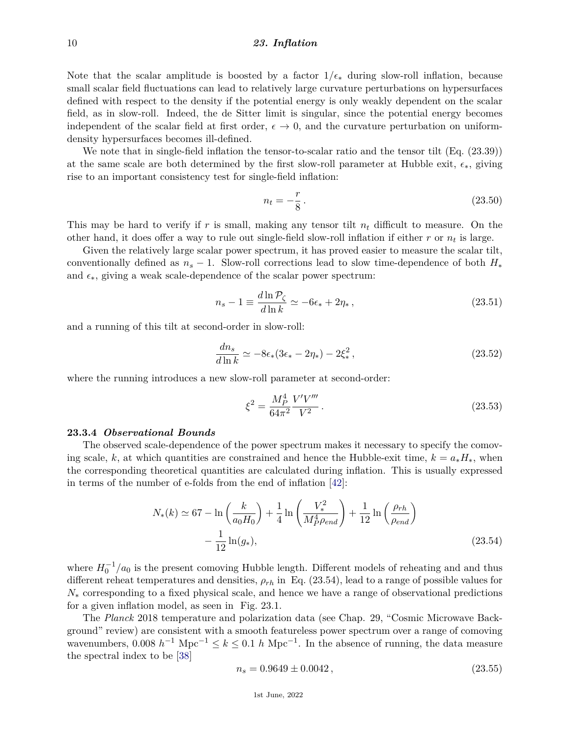Note that the scalar amplitude is boosted by a factor  $1/\epsilon_*$  during slow-roll inflation, because small scalar field fluctuations can lead to relatively large curvature perturbations on hypersurfaces defined with respect to the density if the potential energy is only weakly dependent on the scalar field, as in slow-roll. Indeed, the de Sitter limit is singular, since the potential energy becomes independent of the scalar field at first order,  $\epsilon \to 0$ , and the curvature perturbation on uniformdensity hypersurfaces becomes ill-defined.

We note that in single-field inflation the tensor-to-scalar ratio and the tensor tilt (Eq. (23.39)) at the same scale are both determined by the first slow-roll parameter at Hubble exit,  $\epsilon_*$ , giving rise to an important consistency test for single-field inflation:

$$
n_t = -\frac{r}{8} \,. \tag{23.50}
$$

This may be hard to verify if *r* is small, making any tensor tilt *n<sup>t</sup>* difficult to measure. On the other hand, it does offer a way to rule out single-field slow-roll inflation if either *r* or *n<sup>t</sup>* is large.

Given the relatively large scalar power spectrum, it has proved easier to measure the scalar tilt, conventionally defined as  $n<sub>s</sub> - 1$ . Slow-roll corrections lead to slow time-dependence of both  $H_*$ and  $\epsilon_{*}$ , giving a weak scale-dependence of the scalar power spectrum:

$$
n_s - 1 \equiv \frac{d \ln \mathcal{P}_{\zeta}}{d \ln k} \simeq -6\epsilon_* + 2\eta_*, \qquad (23.51)
$$

and a running of this tilt at second-order in slow-roll:

$$
\frac{dn_s}{d\ln k} \simeq -8\epsilon_*(3\epsilon_* - 2\eta_*) - 2\xi_*^2, \qquad (23.52)
$$

where the running introduces a new slow-roll parameter at second-order:

$$
\xi^2 = \frac{M_P^4}{64\pi^2} \frac{V'V'''}{V^2} \,. \tag{23.53}
$$

#### **23.3.4** *Observational Bounds*

The observed scale-dependence of the power spectrum makes it necessary to specify the comoving scale, *k*, at which quantities are constrained and hence the Hubble-exit time,  $k = a_* H_*,$  when the corresponding theoretical quantities are calculated during inflation. This is usually expressed in terms of the number of e-folds from the end of inflation [\[42\]](#page-28-14):

$$
N_{*}(k) \simeq 67 - \ln\left(\frac{k}{a_{0}H_{0}}\right) + \frac{1}{4}\ln\left(\frac{V_{*}^{2}}{M_{P}^{4}\rho_{end}}\right) + \frac{1}{12}\ln\left(\frac{\rho_{rh}}{\rho_{end}}\right) - \frac{1}{12}\ln(g_{*}),
$$
\n(23.54)

where  $H_0^{-1}/a_0$  is the present comoving Hubble length. Different models of reheating and and thus different reheat temperatures and densities, *ρrh* in Eq. (23.54), lead to a range of possible values for *N*<sup>∗</sup> corresponding to a fixed physical scale, and hence we have a range of observational predictions for a given inflation model, as seen in Fig. 23.1.

The *Planck* 2018 temperature and polarization data (see Chap. 29, "Cosmic Microwave Background" review) are consistent with a smooth featureless power spectrum over a range of comoving wavenumbers, 0.008  $h^{-1}$  Mpc<sup>-1</sup>  $\leq k \leq 0.1$  *h* Mpc<sup>-1</sup>. In the absence of running, the data measure the spectral index to be [\[38\]](#page-28-10)

$$
n_s = 0.9649 \pm 0.0042\,,\tag{23.55}
$$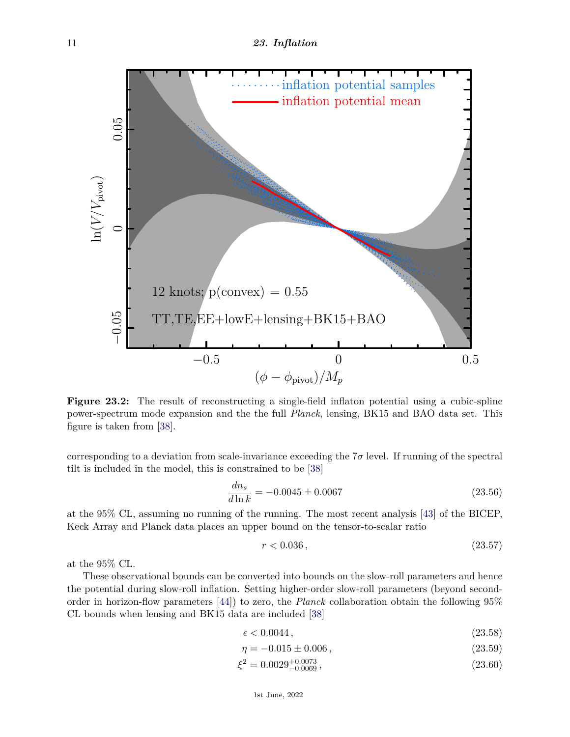

**Figure 23.2:** The result of reconstructing a single-field inflaton potential using a cubic-spline power-spectrum mode expansion and the the full *Planck*, lensing, BK15 and BAO data set. This figure is taken from [\[38\]](#page-28-10).

corresponding to a deviation from scale-invariance exceeding the  $7\sigma$  level. If running of the spectral tilt is included in the model, this is constrained to be [\[38\]](#page-28-10)

$$
\frac{dn_s}{d\ln k} = -0.0045 \pm 0.0067\tag{23.56}
$$

at the 95% CL, assuming no running of the running. The most recent analysis [\[43\]](#page-28-15) of the BICEP, Keck Array and Planck data places an upper bound on the tensor-to-scalar ratio

$$
r < 0.036 \,,\tag{23.57}
$$

at the 95% CL.

These observational bounds can be converted into bounds on the slow-roll parameters and hence the potential during slow-roll inflation. Setting higher-order slow-roll parameters (beyond secondorder in horizon-flow parameters [\[44\]](#page-28-16)) to zero, the *Planck* collaboration obtain the following 95% CL bounds when lensing and BK15 data are included [\[38\]](#page-28-10)

$$
\epsilon < 0.0044 \,,\tag{23.58}
$$

$$
\eta = -0.015 \pm 0.006 \,, \tag{23.59}
$$

$$
\xi^2 = 0.0029_{-0.0069}^{+0.0073},\tag{23.60}
$$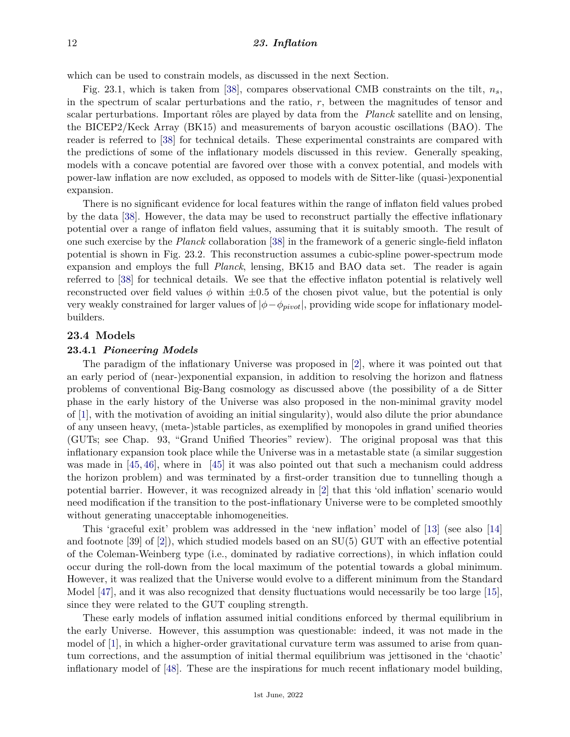which can be used to constrain models, as discussed in the next Section.

Fig. 23.1, which is taken from [\[38\]](#page-28-10), compares observational CMB constraints on the tilt, *ns*, in the spectrum of scalar perturbations and the ratio, *r*, between the magnitudes of tensor and scalar perturbations. Important rôles are played by data from the *Planck* satellite and on lensing, the BICEP2/Keck Array (BK15) and measurements of baryon acoustic oscillations (BAO). The reader is referred to [\[38\]](#page-28-10) for technical details. These experimental constraints are compared with the predictions of some of the inflationary models discussed in this review. Generally speaking, models with a concave potential are favored over those with a convex potential, and models with power-law inflation are now excluded, as opposed to models with de Sitter-like (quasi-)exponential expansion.

There is no significant evidence for local features within the range of inflaton field values probed by the data [\[38\]](#page-28-10). However, the data may be used to reconstruct partially the effective inflationary potential over a range of inflaton field values, assuming that it is suitably smooth. The result of one such exercise by the *Planck* collaboration [\[38\]](#page-28-10) in the framework of a generic single-field inflaton potential is shown in Fig. 23.2. This reconstruction assumes a cubic-spline power-spectrum mode expansion and employs the full *Planck*, lensing, BK15 and BAO data set. The reader is again referred to [\[38\]](#page-28-10) for technical details. We see that the effective inflaton potential is relatively well reconstructed over field values  $\phi$  within  $\pm 0.5$  of the chosen pivot value, but the potential is only very weakly constrained for larger values of  $|\phi - \phi_{pivot}|$ , providing wide scope for inflationary modelbuilders.

## **23.4 Models**

#### **23.4.1** *Pioneering Models*

The paradigm of the inflationary Universe was proposed in [\[2\]](#page-27-1), where it was pointed out that an early period of (near-)exponential expansion, in addition to resolving the horizon and flatness problems of conventional Big-Bang cosmology as discussed above (the possibility of a de Sitter phase in the early history of the Universe was also proposed in the non-minimal gravity model of [\[1\]](#page-27-0), with the motivation of avoiding an initial singularity), would also dilute the prior abundance of any unseen heavy, (meta-)stable particles, as exemplified by monopoles in grand unified theories (GUTs; see Chap. 93, "Grand Unified Theories" review). The original proposal was that this inflationary expansion took place while the Universe was in a metastable state (a similar suggestion was made in [\[45,](#page-28-17) [46\]](#page-28-18), where in [\[45\]](#page-28-17) it was also pointed out that such a mechanism could address the horizon problem) and was terminated by a first-order transition due to tunnelling though a potential barrier. However, it was recognized already in [\[2\]](#page-27-1) that this 'old inflation' scenario would need modification if the transition to the post-inflationary Universe were to be completed smoothly without generating unacceptable inhomogeneities.

This 'graceful exit' problem was addressed in the 'new inflation' model of [\[13\]](#page-27-8) (see also [\[14\]](#page-27-9) and footnote [39] of [\[2\]](#page-27-1)), which studied models based on an SU(5) GUT with an effective potential of the Coleman-Weinberg type (i.e., dominated by radiative corrections), in which inflation could occur during the roll-down from the local maximum of the potential towards a global minimum. However, it was realized that the Universe would evolve to a different minimum from the Standard Model [\[47\]](#page-28-19), and it was also recognized that density fluctuations would necessarily be too large [\[15\]](#page-27-10), since they were related to the GUT coupling strength.

These early models of inflation assumed initial conditions enforced by thermal equilibrium in the early Universe. However, this assumption was questionable: indeed, it was not made in the model of [\[1\]](#page-27-0), in which a higher-order gravitational curvature term was assumed to arise from quantum corrections, and the assumption of initial thermal equilibrium was jettisoned in the 'chaotic' inflationary model of [\[48\]](#page-28-20). These are the inspirations for much recent inflationary model building,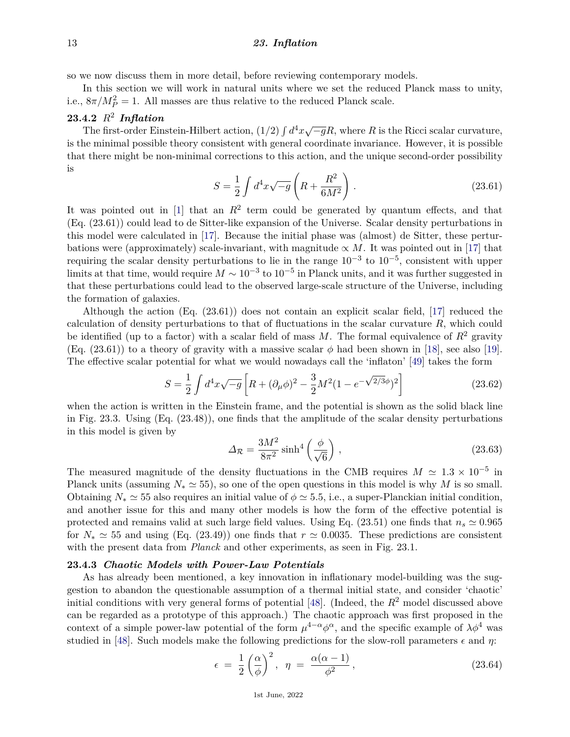so we now discuss them in more detail, before reviewing contemporary models.

In this section we will work in natural units where we set the reduced Planck mass to unity, i.e.,  $8\pi/M_P^2 = 1$ . All masses are thus relative to the reduced Planck scale.

# **23.4.2** *R*<sup>2</sup> *Inflation*

**The first-order Einstein-Hilbert action,**  $(1/2) \int d^4x \sqrt{-g}R$ , where *R* is the Ricci scalar curvature, is the minimal possible theory consistent with general coordinate invariance. However, it is possible that there might be non-minimal corrections to this action, and the unique second-order possibility is

$$
S = \frac{1}{2} \int d^4x \sqrt{-g} \left( R + \frac{R^2}{6M^2} \right) . \tag{23.61}
$$

It was pointed out in  $[1]$  that an  $R^2$  term could be generated by quantum effects, and that (Eq. (23.61)) could lead to de Sitter-like expansion of the Universe. Scalar density perturbations in this model were calculated in [\[17\]](#page-27-12). Because the initial phase was (almost) de Sitter, these perturbations were (approximately) scale-invariant, with magnitude  $\propto M$ . It was pointed out in [\[17\]](#page-27-12) that requiring the scalar density perturbations to lie in the range  $10^{-3}$  to  $10^{-5}$ , consistent with upper limits at that time, would require  $M \sim 10^{-3}$  to  $10^{-5}$  in Planck units, and it was further suggested in that these perturbations could lead to the observed large-scale structure of the Universe, including the formation of galaxies.

Although the action (Eq. (23.61)) does not contain an explicit scalar field, [\[17\]](#page-27-12) reduced the calculation of density perturbations to that of fluctuations in the scalar curvature *R*, which could be identified (up to a factor) with a scalar field of mass  $M$ . The formal equivalence of  $R^2$  gravity (Eq. (23.61)) to a theory of gravity with a massive scalar  $\phi$  had been shown in [\[18\]](#page-27-13), see also [\[19\]](#page-27-20). The effective scalar potential for what we would nowadays call the 'inflaton' [\[49\]](#page-28-21) takes the form

$$
S = \frac{1}{2} \int d^4x \sqrt{-g} \left[ R + (\partial_\mu \phi)^2 - \frac{3}{2} M^2 (1 - e^{-\sqrt{2/3}\phi})^2 \right]
$$
 (23.62)

when the action is written in the Einstein frame, and the potential is shown as the solid black line in Fig. 23.3. Using (Eq. (23.48)), one finds that the amplitude of the scalar density perturbations in this model is given by

$$
\Delta \mathcal{R} = \frac{3M^2}{8\pi^2} \sinh^4\left(\frac{\phi}{\sqrt{6}}\right),\tag{23.63}
$$

The measured magnitude of the density fluctuations in the CMB requires  $M \simeq 1.3 \times 10^{-5}$  in Planck units (assuming  $N_* \simeq 55$ ), so one of the open questions in this model is why *M* is so small. Obtaining  $N_* \simeq 55$  also requires an initial value of  $\phi \simeq 5.5$ , i.e., a super-Planckian initial condition, and another issue for this and many other models is how the form of the effective potential is protected and remains valid at such large field values. Using Eq. (23.51) one finds that  $n_s \approx 0.965$ for  $N_* \simeq 55$  and using (Eq. (23.49)) one finds that  $r \simeq 0.0035$ . These predictions are consistent with the present data from *Planck* and other experiments, as seen in Fig. 23.1.

## **23.4.3** *Chaotic Models with Power-Law Potentials*

As has already been mentioned, a key innovation in inflationary model-building was the suggestion to abandon the questionable assumption of a thermal initial state, and consider 'chaotic' initial conditions with very general forms of potential [\[48\]](#page-28-20). (Indeed, the *R*<sup>2</sup> model discussed above can be regarded as a prototype of this approach.) The chaotic approach was first proposed in the context of a simple power-law potential of the form  $\mu^{4-\alpha}\phi^{\alpha}$ , and the specific example of  $\lambda\phi^4$  was studied in [\[48\]](#page-28-20). Such models make the following predictions for the slow-roll parameters  $\epsilon$  and  $\eta$ :

$$
\epsilon = \frac{1}{2} \left( \frac{\alpha}{\phi} \right)^2, \quad \eta = \frac{\alpha(\alpha - 1)}{\phi^2}, \tag{23.64}
$$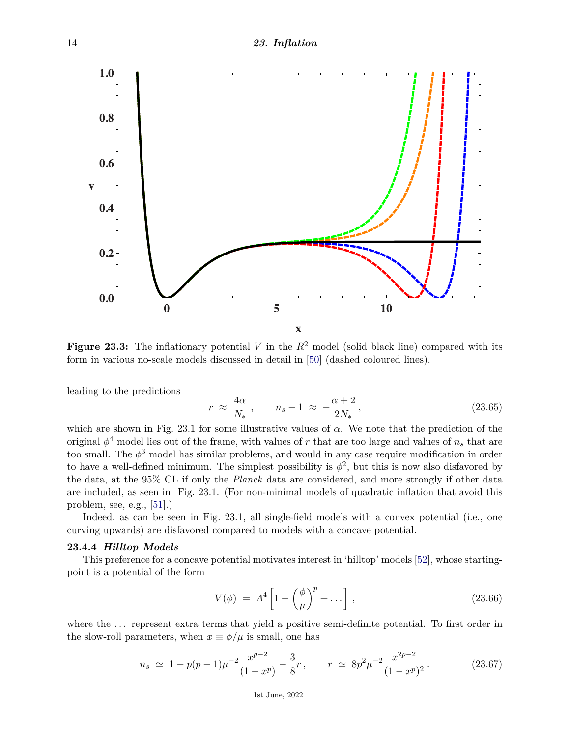

**Figure 23.3:** The inflationary potential *V* in the  $R^2$  model (solid black line) compared with its form in various no-scale models discussed in detail in [\[50\]](#page-28-22) (dashed coloured lines).

leading to the predictions

$$
r \approx \frac{4\alpha}{N_*} \,, \qquad n_s - 1 \approx -\frac{\alpha + 2}{2N_*} \,, \tag{23.65}
$$

which are shown in Fig. 23.1 for some illustrative values of *α*. We note that the prediction of the original  $\phi^4$  model lies out of the frame, with values of *r* that are too large and values of  $n_s$  that are too small. The *φ* <sup>3</sup> model has similar problems, and would in any case require modification in order to have a well-defined minimum. The simplest possibility is  $\phi^2$ , but this is now also disfavored by the data, at the 95% CL if only the *Planck* data are considered, and more strongly if other data are included, as seen in Fig. 23.1. (For non-minimal models of quadratic inflation that avoid this problem, see, e.g., [\[51\]](#page-28-23).)

Indeed, as can be seen in Fig. 23.1, all single-field models with a convex potential (i.e., one curving upwards) are disfavored compared to models with a concave potential.

## **23.4.4** *Hilltop Models*

This preference for a concave potential motivates interest in 'hilltop' models [\[52\]](#page-28-24), whose startingpoint is a potential of the form

$$
V(\phi) = \Lambda^4 \left[ 1 - \left(\frac{\phi}{\mu}\right)^p + \dots \right], \qquad (23.66)
$$

where the  $\dots$  represent extra terms that yield a positive semi-definite potential. To first order in the slow-roll parameters, when  $x \equiv \phi/\mu$  is small, one has

$$
n_s \simeq 1 - p(p-1)\mu^{-2} \frac{x^{p-2}}{(1-x^p)} - \frac{3}{8}r \,, \qquad r \simeq 8p^2 \mu^{-2} \frac{x^{2p-2}}{(1-x^p)^2} \,. \tag{23.67}
$$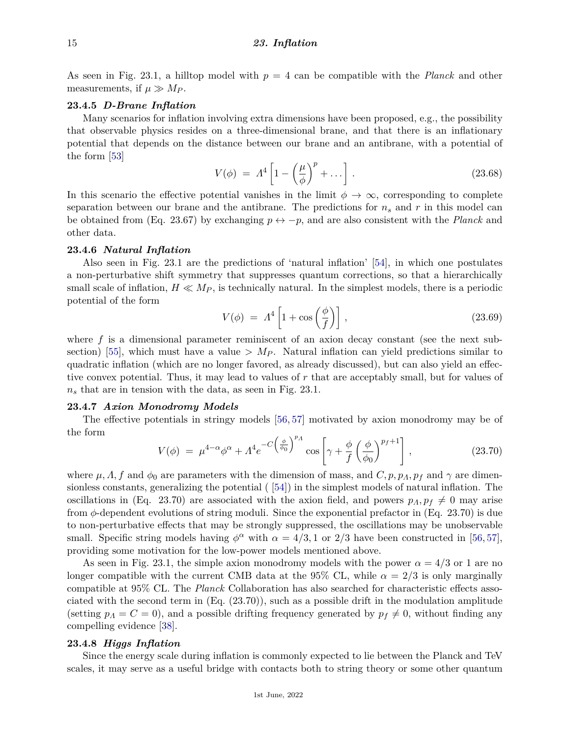As seen in Fig. 23.1, a hilltop model with *p* = 4 can be compatible with the *Planck* and other measurements, if  $\mu \gg M_P$ .

## **23.4.5** *D-Brane Inflation*

Many scenarios for inflation involving extra dimensions have been proposed, e.g., the possibility that observable physics resides on a three-dimensional brane, and that there is an inflationary potential that depends on the distance between our brane and an antibrane, with a potential of the form [\[53\]](#page-28-25)

$$
V(\phi) = \Lambda^4 \left[ 1 - \left(\frac{\mu}{\phi}\right)^p + \dots \right]. \tag{23.68}
$$

In this scenario the effective potential vanishes in the limit  $\phi \to \infty$ , corresponding to complete separation between our brane and the antibrane. The predictions for *n<sup>s</sup>* and *r* in this model can be obtained from (Eq. 23.67) by exchanging  $p \leftrightarrow -p$ , and are also consistent with the *Planck* and other data.

#### **23.4.6** *Natural Inflation*

Also seen in Fig. 23.1 are the predictions of 'natural inflation' [\[54\]](#page-28-26), in which one postulates a non-perturbative shift symmetry that suppresses quantum corrections, so that a hierarchically small scale of inflation,  $H \ll M_P$ , is technically natural. In the simplest models, there is a periodic potential of the form

$$
V(\phi) = \Lambda^4 \left[ 1 + \cos\left(\frac{\phi}{f}\right) \right],\tag{23.69}
$$

where f is a dimensional parameter reminiscent of an axion decay constant (see the next sub-section) [\[55\]](#page-28-27), which must have a value  $> M_P$ . Natural inflation can yield predictions similar to quadratic inflation (which are no longer favored, as already discussed), but can also yield an effective convex potential. Thus, it may lead to values of *r* that are acceptably small, but for values of *n<sup>s</sup>* that are in tension with the data, as seen in Fig. 23.1.

#### **23.4.7** *Axion Monodromy Models*

The effective potentials in stringy models [\[56,](#page-28-28) [57\]](#page-28-29) motivated by axion monodromy may be of the form

$$
V(\phi) = \mu^{4-\alpha} \phi^{\alpha} + \Lambda^4 e^{-C\left(\frac{\phi}{\phi_0}\right)^{p_A}} \cos\left[\gamma + \frac{\phi}{f}\left(\frac{\phi}{\phi_0}\right)^{p_f+1}\right],
$$
 (23.70)

where  $\mu$ ,  $\Lambda$ ,  $f$  and  $\phi_0$  are parameters with the dimension of mass, and  $C$ ,  $p$ ,  $p_A$ ,  $p_f$  and  $\gamma$  are dimensionless constants, generalizing the potential ( [\[54\]](#page-28-26)) in the simplest models of natural inflation. The oscillations in (Eq. 23.70) are associated with the axion field, and powers  $p_A, p_f \neq 0$  may arise from *φ*-dependent evolutions of string moduli. Since the exponential prefactor in (Eq. 23.70) is due to non-perturbative effects that may be strongly suppressed, the oscillations may be unobservable small. Specific string models having  $\phi^{\alpha}$  with  $\alpha = 4/3, 1$  or 2/3 have been constructed in [\[56,](#page-28-28) [57\]](#page-28-29), providing some motivation for the low-power models mentioned above.

As seen in Fig. 23.1, the simple axion monodromy models with the power  $\alpha = 4/3$  or 1 are no longer compatible with the current CMB data at the 95% CL, while  $\alpha = 2/3$  is only marginally compatible at 95% CL. The *Planck* Collaboration has also searched for characteristic effects associated with the second term in  $(Eq. (23.70))$ , such as a possible drift in the modulation amplitude (setting  $p_A = C = 0$ ), and a possible drifting frequency generated by  $p_f \neq 0$ , without finding any compelling evidence [\[38\]](#page-28-10).

#### **23.4.8** *Higgs Inflation*

Since the energy scale during inflation is commonly expected to lie between the Planck and TeV scales, it may serve as a useful bridge with contacts both to string theory or some other quantum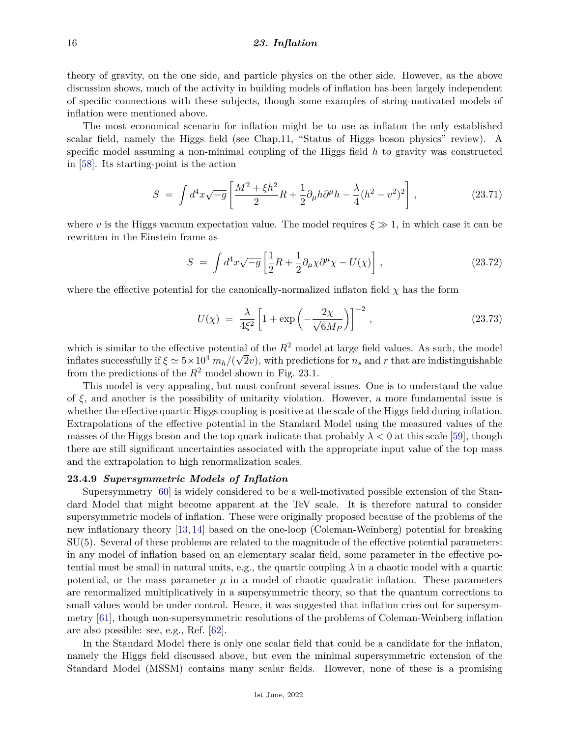theory of gravity, on the one side, and particle physics on the other side. However, as the above discussion shows, much of the activity in building models of inflation has been largely independent of specific connections with these subjects, though some examples of string-motivated models of inflation were mentioned above.

The most economical scenario for inflation might be to use as inflaton the only established scalar field, namely the Higgs field (see Chap.11, "Status of Higgs boson physics" review). A specific model assuming a non-minimal coupling of the Higgs field *h* to gravity was constructed in [\[58\]](#page-28-30). Its starting-point is the action

$$
S = \int d^4x \sqrt{-g} \left[ \frac{M^2 + \xi h^2}{2} R + \frac{1}{2} \partial_\mu h \partial^\mu h - \frac{\lambda}{4} (h^2 - v^2)^2 \right],
$$
 (23.71)

where *v* is the Higgs vacuum expectation value. The model requires  $\xi \gg 1$ , in which case it can be rewritten in the Einstein frame as

$$
S = \int d^4x \sqrt{-g} \left[ \frac{1}{2} R + \frac{1}{2} \partial_\mu \chi \partial^\mu \chi - U(\chi) \right], \qquad (23.72)
$$

where the effective potential for the canonically-normalized inflaton field  $\chi$  has the form

$$
U(\chi) = \frac{\lambda}{4\xi^2} \left[ 1 + \exp\left( -\frac{2\chi}{\sqrt{6}M_P} \right) \right]^{-2}, \qquad (23.73)
$$

which is similar to the effective potential of the  $R^2$  model at large field values. As such, the model inflates successfully if  $\xi \simeq 5 \times 10^4$   $m_h/(\sqrt{2}v)$ , with predictions for  $n_s$  and  $r$  that are indistinguishable from the predictions of the  $R^2$  model shown in Fig. 23.1.

This model is very appealing, but must confront several issues. One is to understand the value of  $\xi$ , and another is the possibility of unitarity violation. However, a more fundamental issue is whether the effective quartic Higgs coupling is positive at the scale of the Higgs field during inflation. Extrapolations of the effective potential in the Standard Model using the measured values of the masses of the Higgs boson and the top quark indicate that probably  $\lambda < 0$  at this scale [\[59\]](#page-28-31), though there are still significant uncertainties associated with the appropriate input value of the top mass and the extrapolation to high renormalization scales.

#### **23.4.9** *Supersymmetric Models of Inflation*

Supersymmetry [\[60\]](#page-29-0) is widely considered to be a well-motivated possible extension of the Standard Model that might become apparent at the TeV scale. It is therefore natural to consider supersymmetric models of inflation. These were originally proposed because of the problems of the new inflationary theory [\[13,](#page-27-8) [14\]](#page-27-9) based on the one-loop (Coleman-Weinberg) potential for breaking SU(5). Several of these problems are related to the magnitude of the effective potential parameters: in any model of inflation based on an elementary scalar field, some parameter in the effective potential must be small in natural units, e.g., the quartic coupling  $\lambda$  in a chaotic model with a quartic potential, or the mass parameter  $\mu$  in a model of chaotic quadratic inflation. These parameters are renormalized multiplicatively in a supersymmetric theory, so that the quantum corrections to small values would be under control. Hence, it was suggested that inflation cries out for supersymmetry [\[61\]](#page-29-1), though non-supersymmetric resolutions of the problems of Coleman-Weinberg inflation are also possible: see, e.g., Ref. [\[62\]](#page-29-2).

In the Standard Model there is only one scalar field that could be a candidate for the inflaton, namely the Higgs field discussed above, but even the minimal supersymmetric extension of the Standard Model (MSSM) contains many scalar fields. However, none of these is a promising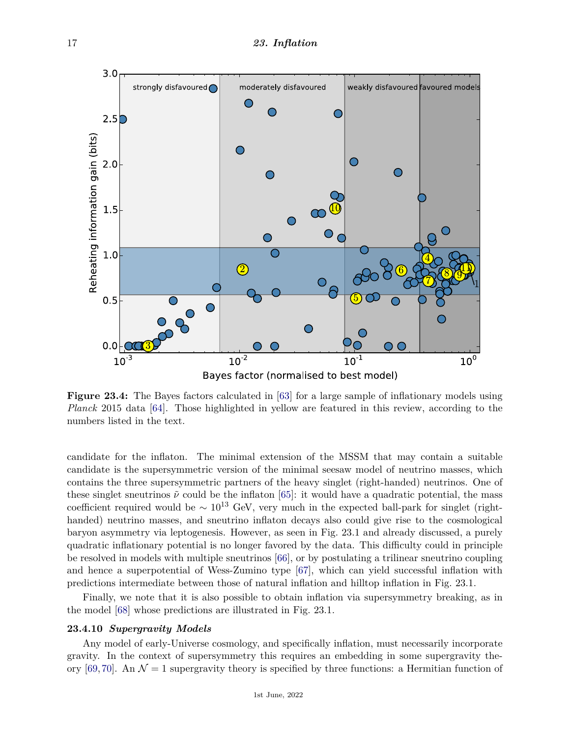

**Figure 23.4:** The Bayes factors calculated in [\[63\]](#page-29-3) for a large sample of inflationary models using *Planck* 2015 data [\[64\]](#page-29-4). Those highlighted in yellow are featured in this review, according to the numbers listed in the text.

candidate for the inflaton. The minimal extension of the MSSM that may contain a suitable candidate is the supersymmetric version of the minimal seesaw model of neutrino masses, which contains the three supersymmetric partners of the heavy singlet (right-handed) neutrinos. One of these singlet sneutrinos  $\tilde{\nu}$  could be the inflaton [\[65\]](#page-29-5): it would have a quadratic potential, the mass coefficient required would be  $\sim 10^{13}$  GeV, very much in the expected ball-park for singlet (righthanded) neutrino masses, and sneutrino inflaton decays also could give rise to the cosmological baryon asymmetry via leptogenesis. However, as seen in Fig. 23.1 and already discussed, a purely quadratic inflationary potential is no longer favored by the data. This difficulty could in principle be resolved in models with multiple sneutrinos [\[66\]](#page-29-6), or by postulating a trilinear sneutrino coupling and hence a superpotential of Wess-Zumino type [\[67\]](#page-29-7), which can yield successful inflation with predictions intermediate between those of natural inflation and hilltop inflation in Fig. 23.1.

Finally, we note that it is also possible to obtain inflation via supersymmetry breaking, as in the model [\[68\]](#page-29-8) whose predictions are illustrated in Fig. 23.1.

# **23.4.10** *Supergravity Models*

Any model of early-Universe cosmology, and specifically inflation, must necessarily incorporate gravity. In the context of supersymmetry this requires an embedding in some supergravity the-ory [\[69,](#page-29-9)[70\]](#page-29-10). An  $\mathcal{N} = 1$  supergravity theory is specified by three functions: a Hermitian function of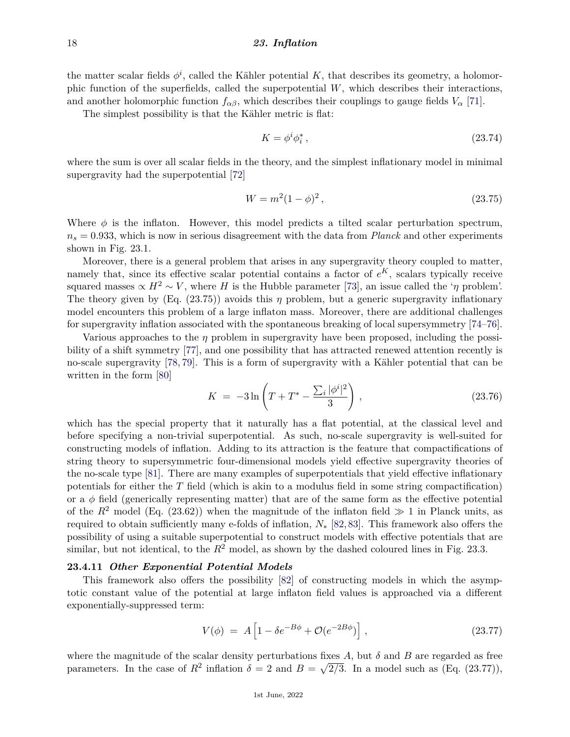the matter scalar fields  $\phi^i$ , called the Kähler potential *K*, that describes its geometry, a holomorphic function of the superfields, called the superpotential *W*, which describes their interactions, and another holomorphic function  $f_{\alpha\beta}$ , which describes their couplings to gauge fields  $V_{\alpha}$  [\[71\]](#page-29-11).

The simplest possibility is that the Kähler metric is flat:

$$
K = \phi^i \phi_i^*,\tag{23.74}
$$

where the sum is over all scalar fields in the theory, and the simplest inflationary model in minimal supergravity had the superpotential [\[72\]](#page-29-12)

$$
W = m^2 (1 - \phi)^2, \tag{23.75}
$$

Where  $\phi$  is the inflaton. However, this model predicts a tilted scalar perturbation spectrum,  $n_s = 0.933$ , which is now in serious disagreement with the data from *Planck* and other experiments shown in Fig. 23.1.

Moreover, there is a general problem that arises in any supergravity theory coupled to matter, namely that, since its effective scalar potential contains a factor of *e <sup>K</sup>*, scalars typically receive squared masses  $\propto H^2 \sim V$ , where *H* is the Hubble parameter [\[73\]](#page-29-13), an issue called the '*η* problem'. The theory given by  $(Eq. (23.75))$  avoids this *η* problem, but a generic supergravity inflationary model encounters this problem of a large inflaton mass. Moreover, there are additional challenges for supergravity inflation associated with the spontaneous breaking of local supersymmetry [\[74–](#page-29-14)[76\]](#page-29-15).

Various approaches to the *η* problem in supergravity have been proposed, including the possibility of a shift symmetry [\[77\]](#page-29-16), and one possibility that has attracted renewed attention recently is no-scale supergravity [\[78,](#page-29-17) [79\]](#page-29-18). This is a form of supergravity with a Kähler potential that can be written in the form [\[80\]](#page-29-19)

$$
K = -3\ln\left(T + T^* - \frac{\sum_{i} |\phi^i|^2}{3}\right),\tag{23.76}
$$

which has the special property that it naturally has a flat potential, at the classical level and before specifying a non-trivial superpotential. As such, no-scale supergravity is well-suited for constructing models of inflation. Adding to its attraction is the feature that compactifications of string theory to supersymmetric four-dimensional models yield effective supergravity theories of the no-scale type [\[81\]](#page-29-20). There are many examples of superpotentials that yield effective inflationary potentials for either the *T* field (which is akin to a modulus field in some string compactification) or a *φ* field (generically representing matter) that are of the same form as the effective potential of the  $R^2$  model (Eq. (23.62)) when the magnitude of the inflaton field  $\gg 1$  in Planck units, as required to obtain sufficiently many e-folds of inflation, *N*<sup>∗</sup> [\[82,](#page-29-21)[83\]](#page-29-22). This framework also offers the possibility of using a suitable superpotential to construct models with effective potentials that are similar, but not identical, to the  $R^2$  model, as shown by the dashed coloured lines in Fig. 23.3.

# **23.4.11** *Other Exponential Potential Models*

This framework also offers the possibility [\[82\]](#page-29-21) of constructing models in which the asymptotic constant value of the potential at large inflaton field values is approached via a different exponentially-suppressed term:

$$
V(\phi) = A \left[ 1 - \delta e^{-B\phi} + \mathcal{O}(e^{-2B\phi}) \right], \qquad (23.77)
$$

where the magnitude of the scalar density perturbations fixes  $A$ , but  $\delta$  and  $B$  are regarded as free parameters. In the case of  $R^2$  inflation  $\delta = 2$  and  $B = \sqrt{2/3}$ . In a model such as (Eq. (23.77)),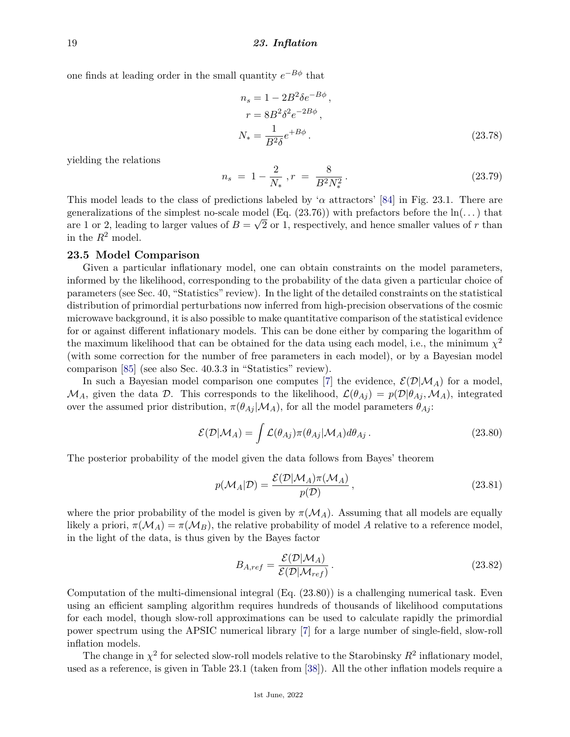one finds at leading order in the small quantity *e* <sup>−</sup>*Bφ* that

$$
n_s = 1 - 2B^2 \delta e^{-B\phi}, \nr = 8B^2 \delta^2 e^{-2B\phi}, \nN_* = \frac{1}{B^2 \delta} e^{+B\phi}.
$$
\n(23.78)

yielding the relations

$$
n_s = 1 - \frac{2}{N_*}, r = \frac{8}{B^2 N_*^2}.
$$
\n(23.79)

This model leads to the class of predictions labeled by ' $\alpha$  attractors' [\[84\]](#page-29-23) in Fig. 23.1. There are generalizations of the simplest no-scale model (Eq.  $(23.76)$ ) with prefactors before the ln( $\dots$ ) that are 1 or 2, leading to larger values of  $B = \sqrt{2}$  or 1, respectively, and hence smaller values of r than in the  $R^2$  model.

# **23.5 Model Comparison**

Given a particular inflationary model, one can obtain constraints on the model parameters, informed by the likelihood, corresponding to the probability of the data given a particular choice of parameters (see Sec. 40, "Statistics" review). In the light of the detailed constraints on the statistical distribution of primordial perturbations now inferred from high-precision observations of the cosmic microwave background, it is also possible to make quantitative comparison of the statistical evidence for or against different inflationary models. This can be done either by comparing the logarithm of the maximum likelihood that can be obtained for the data using each model, i.e., the minimum  $\chi^2$ (with some correction for the number of free parameters in each model), or by a Bayesian model comparison [\[85\]](#page-29-24) (see also Sec. 40.3.3 in "Statistics" review).

In such a Bayesian model comparison one computes [\[7\]](#page-27-3) the evidence,  $\mathcal{E}(\mathcal{D}|\mathcal{M}_A)$  for a model,  $M_A$ , given the data D. This corresponds to the likelihood,  $\mathcal{L}(\theta_{Ai}) = p(\mathcal{D}|\theta_{Ai}, \mathcal{M}_A)$ , integrated over the assumed prior distribution,  $\pi(\theta_{Ai} | \mathcal{M}_A)$ , for all the model parameters  $\theta_{Ai}$ :

$$
\mathcal{E}(\mathcal{D}|\mathcal{M}_A) = \int \mathcal{L}(\theta_{Aj}) \pi(\theta_{Aj}|\mathcal{M}_A) d\theta_{Aj}.
$$
 (23.80)

The posterior probability of the model given the data follows from Bayes' theorem

$$
p(\mathcal{M}_A|\mathcal{D}) = \frac{\mathcal{E}(\mathcal{D}|\mathcal{M}_A)\pi(\mathcal{M}_A)}{p(\mathcal{D})},
$$
\n(23.81)

where the prior probability of the model is given by  $\pi(\mathcal{M}_A)$ . Assuming that all models are equally likely a priori,  $\pi(\mathcal{M}_A) = \pi(\mathcal{M}_B)$ , the relative probability of model A relative to a reference model, in the light of the data, is thus given by the Bayes factor

$$
B_{A,ref} = \frac{\mathcal{E}(\mathcal{D}|\mathcal{M}_A)}{\mathcal{E}(\mathcal{D}|\mathcal{M}_{ref})}.
$$
\n(23.82)

Computation of the multi-dimensional integral (Eq. (23.80)) is a challenging numerical task. Even using an efficient sampling algorithm requires hundreds of thousands of likelihood computations for each model, though slow-roll approximations can be used to calculate rapidly the primordial power spectrum using the APSIC numerical library [\[7\]](#page-27-3) for a large number of single-field, slow-roll inflation models.

The change in  $\chi^2$  for selected slow-roll models relative to the Starobinsky  $R^2$  inflationary model, used as a reference, is given in Table 23.1 (taken from [\[38\]](#page-28-10)). All the other inflation models require a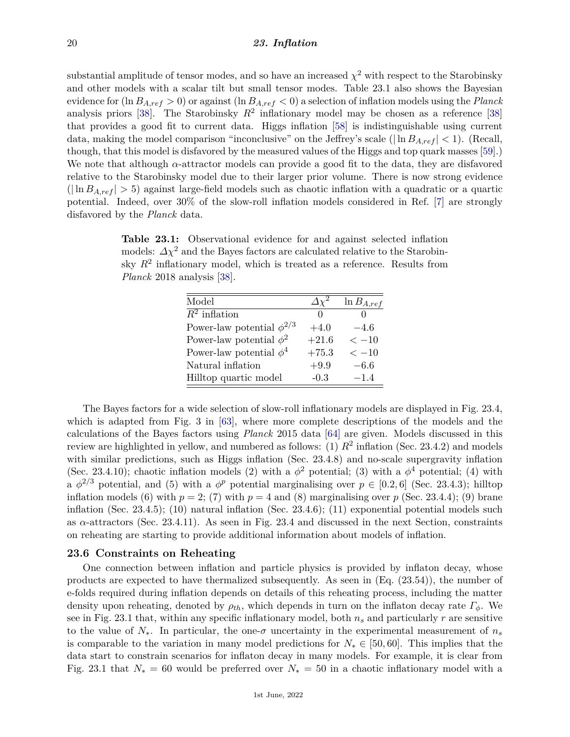substantial amplitude of tensor modes, and so have an increased  $\chi^2$  with respect to the Starobinsky and other models with a scalar tilt but small tensor modes. Table 23.1 also shows the Bayesian evidence for (ln *BA,ref >* 0) or against (ln *BA,ref <* 0) a selection of inflation models using the *Planck* analysis priors [\[38\]](#page-28-10). The Starobinsky  $R^2$  inflationary model may be chosen as a reference [38] that provides a good fit to current data. Higgs inflation [\[58\]](#page-28-30) is indistinguishable using current data, making the model comparison "inconclusive" on the Jeffrey's scale ( $|\ln B_{A,ref}| < 1$ ). (Recall, though, that this model is disfavored by the measured values of the Higgs and top quark masses [\[59\]](#page-28-31).) We note that although *α*-attractor models can provide a good fit to the data, they are disfavored relative to the Starobinsky model due to their larger prior volume. There is now strong evidence  $(|\ln B_{A,ref}| > 5)$  against large-field models such as chaotic inflation with a quadratic or a quartic potential. Indeed, over 30% of the slow-roll inflation models considered in Ref. [\[7\]](#page-27-3) are strongly disfavored by the *Planck* data.

**Table 23.1:** Observational evidence for and against selected inflation models:  $\Delta \chi^2$  and the Bayes factors are calculated relative to the Starobinsky  $R^2$  inflationary model, which is treated as a reference. Results from *Planck* 2018 analysis [\[38\]](#page-28-10).

| Model                            |         | $\ln B_{A,ref}$ |
|----------------------------------|---------|-----------------|
| $R^2$ inflation                  |         |                 |
| Power-law potential $\phi^{2/3}$ | $+4.0$  | $-4.6$          |
| Power-law potential $\phi^2$     | $+21.6$ | $<-10$          |
| Power-law potential $\phi^4$     | $+75.3$ | $<-10$          |
| Natural inflation                | $+9.9$  | $-6.6$          |
| Hilltop quartic model            | $-0.3$  | $-1.4$          |

The Bayes factors for a wide selection of slow-roll inflationary models are displayed in Fig. 23.4, which is adapted from Fig. 3 in [\[63\]](#page-29-3), where more complete descriptions of the models and the calculations of the Bayes factors using *Planck* 2015 data [\[64\]](#page-29-4) are given. Models discussed in this review are highlighted in yellow, and numbered as follows:  $(1)$   $R^2$  inflation (Sec. 23.4.2) and models with similar predictions, such as Higgs inflation (Sec. 23.4.8) and no-scale supergravity inflation (Sec. 23.4.10); chaotic inflation models (2) with a  $\phi^2$  potential; (3) with a  $\phi^4$  potential; (4) with a  $\phi^{2/3}$  potential, and (5) with a  $\phi^p$  potential marginalising over  $p \in [0.2, 6]$  (Sec. 23.4.3); hilltop inflation models (6) with  $p = 2$ ; (7) with  $p = 4$  and (8) marginalising over  $p$  (Sec. 23.4.4); (9) brane inflation (Sec. 23.4.5); (10) natural inflation (Sec. 23.4.6); (11) exponential potential models such as *α*-attractors (Sec. 23.4.11). As seen in Fig. 23.4 and discussed in the next Section, constraints on reheating are starting to provide additional information about models of inflation.

# **23.6 Constraints on Reheating**

One connection between inflation and particle physics is provided by inflaton decay, whose products are expected to have thermalized subsequently. As seen in (Eq. (23.54)), the number of e-folds required during inflation depends on details of this reheating process, including the matter density upon reheating, denoted by *ρth*, which depends in turn on the inflaton decay rate *Γφ*. We see in Fig. 23.1 that, within any specific inflationary model, both *n<sup>s</sup>* and particularly *r* are sensitive to the value of  $N_*$ . In particular, the one- $\sigma$  uncertainty in the experimental measurement of  $n_s$ is comparable to the variation in many model predictions for *N*<sup>∗</sup> ∈ [50*,* 60]. This implies that the data start to constrain scenarios for inflaton decay in many models. For example, it is clear from Fig. 23.1 that  $N_* = 60$  would be preferred over  $N_* = 50$  in a chaotic inflationary model with a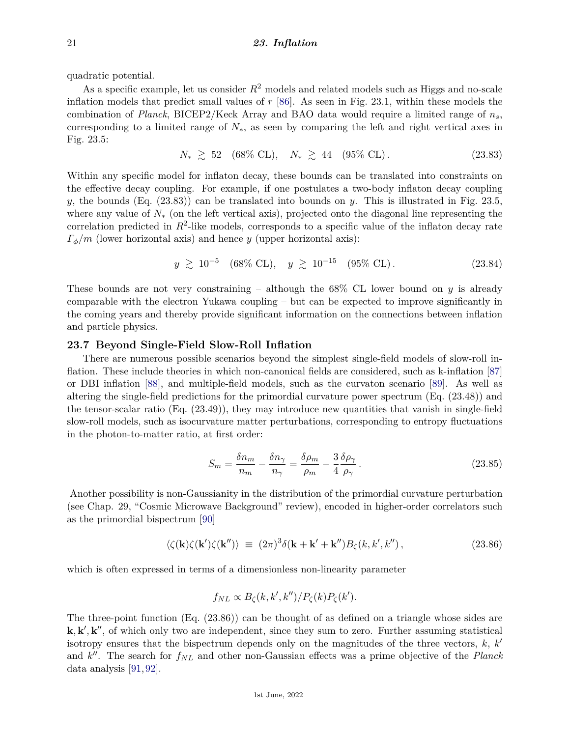quadratic potential.

As a specific example, let us consider *R*<sup>2</sup> models and related models such as Higgs and no-scale inflation models that predict small values of *r* [\[86\]](#page-29-25). As seen in Fig. 23.1, within these models the combination of *Planck*, BICEP2/Keck Array and BAO data would require a limited range of *ns*, corresponding to a limited range of *N*∗, as seen by comparing the left and right vertical axes in Fig. 23.5:

 $N_* \geq 52$  (68\% CL),  $N_* \geq 44$  (95\% CL). (23.83)

Within any specific model for inflaton decay, these bounds can be translated into constraints on the effective decay coupling. For example, if one postulates a two-body inflaton decay coupling *y*, the bounds (Eq. (23.83)) can be translated into bounds on *y*. This is illustrated in Fig. 23.5, where any value of *N*<sup>∗</sup> (on the left vertical axis), projected onto the diagonal line representing the correlation predicted in  $R^2$ -like models, corresponds to a specific value of the inflaton decay rate *Γφ/m* (lower horizontal axis) and hence *y* (upper horizontal axis):

$$
y \ge 10^{-5} \quad (68\% \text{ CL}), \quad y \ge 10^{-15} \quad (95\% \text{ CL}). \tag{23.84}
$$

These bounds are not very constraining – although the 68% CL lower bound on *y* is already comparable with the electron Yukawa coupling – but can be expected to improve significantly in the coming years and thereby provide significant information on the connections between inflation and particle physics.

# **23.7 Beyond Single-Field Slow-Roll Inflation**

There are numerous possible scenarios beyond the simplest single-field models of slow-roll inflation. These include theories in which non-canonical fields are considered, such as k-inflation [\[87\]](#page-29-26) or DBI inflation [\[88\]](#page-29-27), and multiple-field models, such as the curvaton scenario [\[89\]](#page-29-28). As well as altering the single-field predictions for the primordial curvature power spectrum (Eq. (23.48)) and the tensor-scalar ratio (Eq. (23.49)), they may introduce new quantities that vanish in single-field slow-roll models, such as isocurvature matter perturbations, corresponding to entropy fluctuations in the photon-to-matter ratio, at first order:

$$
S_m = \frac{\delta n_m}{n_m} - \frac{\delta n_\gamma}{n_\gamma} = \frac{\delta \rho_m}{\rho_m} - \frac{3}{4} \frac{\delta \rho_\gamma}{\rho_\gamma} \,. \tag{23.85}
$$

Another possibility is non-Gaussianity in the distribution of the primordial curvature perturbation (see Chap. 29, "Cosmic Microwave Background" review), encoded in higher-order correlators such as the primordial bispectrum [\[90\]](#page-30-0)

$$
\langle \zeta(\mathbf{k}) \zeta(\mathbf{k'}) \zeta(\mathbf{k''}) \rangle \equiv (2\pi)^3 \delta(\mathbf{k} + \mathbf{k'} + \mathbf{k''}) B_{\zeta}(k, k', k''), \qquad (23.86)
$$

which is often expressed in terms of a dimensionless non-linearity parameter

$$
f_{NL} \propto B_{\zeta}(k, k', k'')/P_{\zeta}(k)P_{\zeta}(k').
$$

The three-point function (Eq. (23.86)) can be thought of as defined on a triangle whose sides are  $\mathbf{k}, \mathbf{k}', \mathbf{k}'$ , of which only two are independent, since they sum to zero. Further assuming statistical isotropy ensures that the bispectrum depends only on the magnitudes of the three vectors,  $k, k'$ and *k*<sup>"</sup>. The search for  $f_{NL}$  and other non-Gaussian effects was a prime objective of the *Planck* data analysis [\[91,](#page-30-1) [92\]](#page-30-2).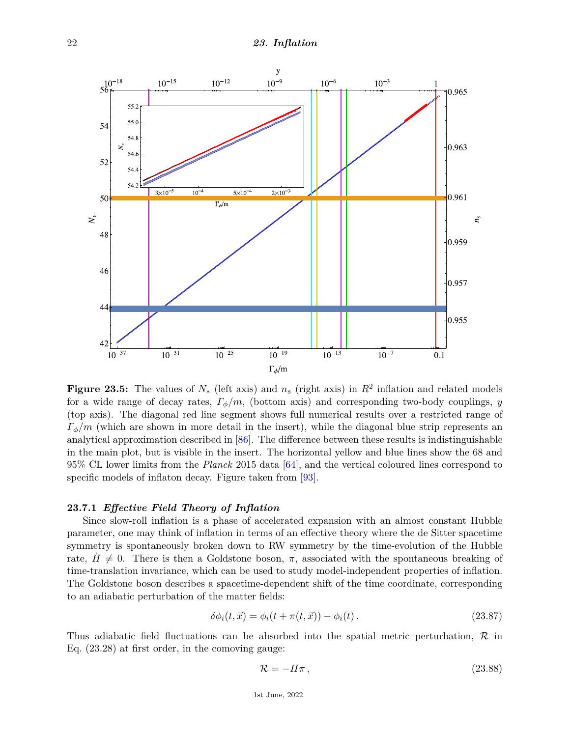

**Figure 23.5:** The values of  $N_*$  (left axis) and  $n_s$  (right axis) in  $R^2$  inflation and related models for a wide range of decay rates, *Γφ/m*, (bottom axis) and corresponding two-body couplings, *y* (top axis). The diagonal red line segment shows full numerical results over a restricted range of  $\Gamma_{\phi}/m$  (which are shown in more detail in the insert), while the diagonal blue strip represents an analytical approximation described in [\[86\]](#page-29-25). The difference between these results is indistinguishable in the main plot, but is visible in the insert. The horizontal yellow and blue lines show the 68 and 95% CL lower limits from the *Planck* 2015 data [\[64\]](#page-29-4), and the vertical coloured lines correspond to specific models of inflaton decay. Figure taken from [\[93\]](#page-30-3).

## **23.7.1** *Effective Field Theory of Inflation*

Since slow-roll inflation is a phase of accelerated expansion with an almost constant Hubble parameter, one may think of inflation in terms of an effective theory where the de Sitter spacetime symmetry is spontaneously broken down to RW symmetry by the time-evolution of the Hubble rate,  $H \neq 0$ . There is then a Goldstone boson,  $\pi$ , associated with the spontaneous breaking of time-translation invariance, which can be used to study model-independent properties of inflation. The Goldstone boson describes a spacetime-dependent shift of the time coordinate, corresponding to an adiabatic perturbation of the matter fields:

$$
\delta\phi_i(t, \vec{x}) = \phi_i(t + \pi(t, \vec{x})) - \phi_i(t).
$$
\n(23.87)

Thus adiabatic field fluctuations can be absorbed into the spatial metric perturbation,  $\mathcal{R}$  in Eq. (23.28) at first order, in the comoving gauge:

$$
\mathcal{R} = -H\pi\,,\tag{23.88}
$$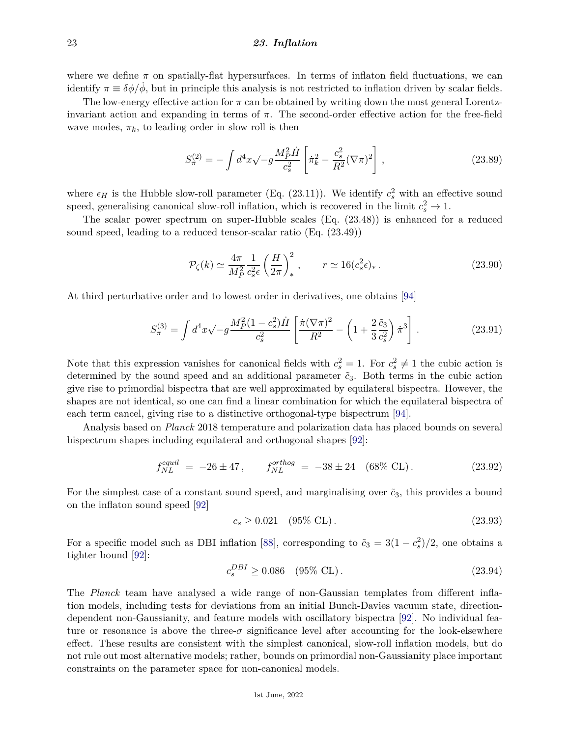where we define  $\pi$  on spatially-flat hypersurfaces. In terms of inflaton field fluctuations, we can identify  $\pi \equiv \delta \phi / \dot{\phi}$ , but in principle this analysis is not restricted to inflation driven by scalar fields.

The low-energy effective action for  $\pi$  can be obtained by writing down the most general Lorentzinvariant action and expanding in terms of *π*. The second-order effective action for the free-field wave modes,  $\pi_k$ , to leading order in slow roll is then

$$
S_{\pi}^{(2)} = -\int d^4x \sqrt{-g} \frac{M_P^2 \dot{H}}{c_s^2} \left[ \dot{\pi}_k^2 - \frac{c_s^2}{R^2} (\nabla \pi)^2 \right],\tag{23.89}
$$

where  $\epsilon_H$  is the Hubble slow-roll parameter (Eq. (23.11)). We identify  $c_s^2$  with an effective sound speed, generalising canonical slow-roll inflation, which is recovered in the limit  $c_s^2 \to 1$ .

The scalar power spectrum on super-Hubble scales (Eq. (23.48)) is enhanced for a reduced sound speed, leading to a reduced tensor-scalar ratio (Eq. (23.49))

$$
\mathcal{P}_{\zeta}(k) \simeq \frac{4\pi}{M_P^2} \frac{1}{c_s^2 \epsilon} \left(\frac{H}{2\pi}\right)_*^2, \qquad r \simeq 16(c_s^2 \epsilon)_* \,. \tag{23.90}
$$

At third perturbative order and to lowest order in derivatives, one obtains [\[94\]](#page-30-4)

$$
S_{\pi}^{(3)} = \int d^4x \sqrt{-g} \frac{M_P^2 (1 - c_s^2) \dot{H}}{c_s^2} \left[ \frac{\dot{\pi} (\nabla \pi)^2}{R^2} - \left( 1 + \frac{2}{3} \frac{\tilde{c}_3}{c_s^2} \right) \dot{\pi}^3 \right]. \tag{23.91}
$$

Note that this expression vanishes for canonical fields with  $c_s^2 = 1$ . For  $c_s^2 \neq 1$  the cubic action is determined by the sound speed and an additional parameter  $\tilde{c}_3$ . Both terms in the cubic action give rise to primordial bispectra that are well approximated by equilateral bispectra. However, the shapes are not identical, so one can find a linear combination for which the equilateral bispectra of each term cancel, giving rise to a distinctive orthogonal-type bispectrum [\[94\]](#page-30-4).

Analysis based on *Planck* 2018 temperature and polarization data has placed bounds on several bispectrum shapes including equilateral and orthogonal shapes [\[92\]](#page-30-2):

$$
f_{NL}^{equil} = -26 \pm 47, \qquad f_{NL}^{orthog} = -38 \pm 24 \quad (68\% \text{ CL}). \tag{23.92}
$$

For the simplest case of a constant sound speed, and marginalising over  $\tilde{c}_3$ , this provides a bound on the inflaton sound speed [\[92\]](#page-30-2)

$$
c_s \ge 0.021 \quad (95\% \text{ CL}). \tag{23.93}
$$

For a specific model such as DBI inflation [\[88\]](#page-29-27), corresponding to  $\tilde{c}_3 = 3(1 - c_s^2)/2$ , one obtains a tighter bound [\[92\]](#page-30-2):

$$
c_s^{DBI} \ge 0.086 \quad (95\% \text{ CL}). \tag{23.94}
$$

The *Planck* team have analysed a wide range of non-Gaussian templates from different inflation models, including tests for deviations from an initial Bunch-Davies vacuum state, directiondependent non-Gaussianity, and feature models with oscillatory bispectra [\[92\]](#page-30-2). No individual feature or resonance is above the three- $\sigma$  significance level after accounting for the look-elsewhere effect. These results are consistent with the simplest canonical, slow-roll inflation models, but do not rule out most alternative models; rather, bounds on primordial non-Gaussianity place important constraints on the parameter space for non-canonical models.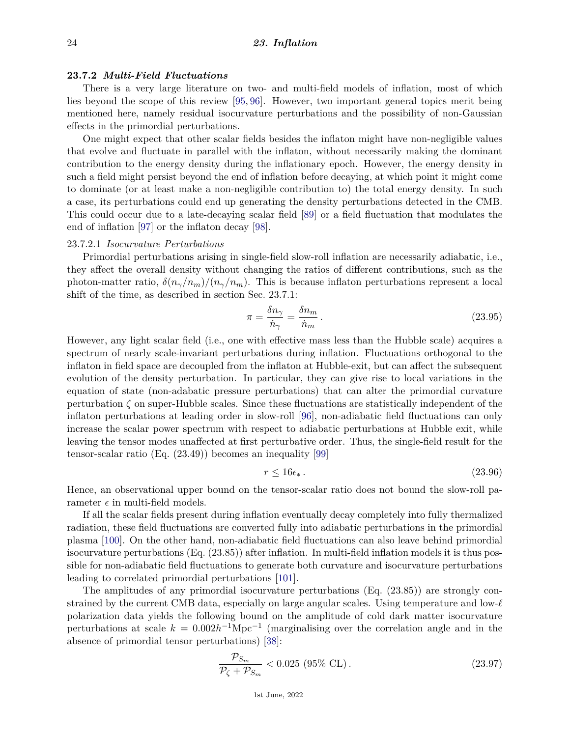## **23.7.2** *Multi-Field Fluctuations*

There is a very large literature on two- and multi-field models of inflation, most of which lies beyond the scope of this review [\[95,](#page-30-5) [96\]](#page-30-6). However, two important general topics merit being mentioned here, namely residual isocurvature perturbations and the possibility of non-Gaussian effects in the primordial perturbations.

One might expect that other scalar fields besides the inflaton might have non-negligible values that evolve and fluctuate in parallel with the inflaton, without necessarily making the dominant contribution to the energy density during the inflationary epoch. However, the energy density in such a field might persist beyond the end of inflation before decaying, at which point it might come to dominate (or at least make a non-negligible contribution to) the total energy density. In such a case, its perturbations could end up generating the density perturbations detected in the CMB. This could occur due to a late-decaying scalar field [\[89\]](#page-29-28) or a field fluctuation that modulates the end of inflation [\[97\]](#page-30-7) or the inflaton decay [\[98\]](#page-30-8).

## 23.7.2.1 *Isocurvature Perturbations*

Primordial perturbations arising in single-field slow-roll inflation are necessarily adiabatic, i.e., they affect the overall density without changing the ratios of different contributions, such as the photon-matter ratio,  $\delta(n_{\gamma}/n_m)/(n_{\gamma}/n_m)$ . This is because inflaton perturbations represent a local shift of the time, as described in section Sec. 23.7.1:

$$
\pi = \frac{\delta n_{\gamma}}{\dot{n}_{\gamma}} = \frac{\delta n_{m}}{\dot{n}_{m}}.
$$
\n(23.95)

However, any light scalar field (i.e., one with effective mass less than the Hubble scale) acquires a spectrum of nearly scale-invariant perturbations during inflation. Fluctuations orthogonal to the inflaton in field space are decoupled from the inflaton at Hubble-exit, but can affect the subsequent evolution of the density perturbation. In particular, they can give rise to local variations in the equation of state (non-adabatic pressure perturbations) that can alter the primordial curvature perturbation  $\zeta$  on super-Hubble scales. Since these fluctuations are statistically independent of the inflaton perturbations at leading order in slow-roll [\[96\]](#page-30-6), non-adiabatic field fluctuations can only increase the scalar power spectrum with respect to adiabatic perturbations at Hubble exit, while leaving the tensor modes unaffected at first perturbative order. Thus, the single-field result for the tensor-scalar ratio (Eq. (23.49)) becomes an inequality [\[99\]](#page-30-9)

$$
r \le 16\epsilon_* \,. \tag{23.96}
$$

Hence, an observational upper bound on the tensor-scalar ratio does not bound the slow-roll parameter  $\epsilon$  in multi-field models.

If all the scalar fields present during inflation eventually decay completely into fully thermalized radiation, these field fluctuations are converted fully into adiabatic perturbations in the primordial plasma [\[100\]](#page-30-10). On the other hand, non-adiabatic field fluctuations can also leave behind primordial isocurvature perturbations (Eq. (23.85)) after inflation. In multi-field inflation models it is thus possible for non-adiabatic field fluctuations to generate both curvature and isocurvature perturbations leading to correlated primordial perturbations [\[101\]](#page-30-11).

The amplitudes of any primordial isocurvature perturbations (Eq. (23.85)) are strongly constrained by the current CMB data, especially on large angular scales. Using temperature and low- $\ell$ polarization data yields the following bound on the amplitude of cold dark matter isocurvature perturbations at scale  $k = 0.002h^{-1}Mpc^{-1}$  (marginalising over the correlation angle and in the absence of primordial tensor perturbations) [\[38\]](#page-28-10):

$$
\frac{\mathcal{P}_{S_m}}{\mathcal{P}_{\zeta} + \mathcal{P}_{S_m}} < 0.025 \ (95\% \ \text{CL}) \,. \tag{23.97}
$$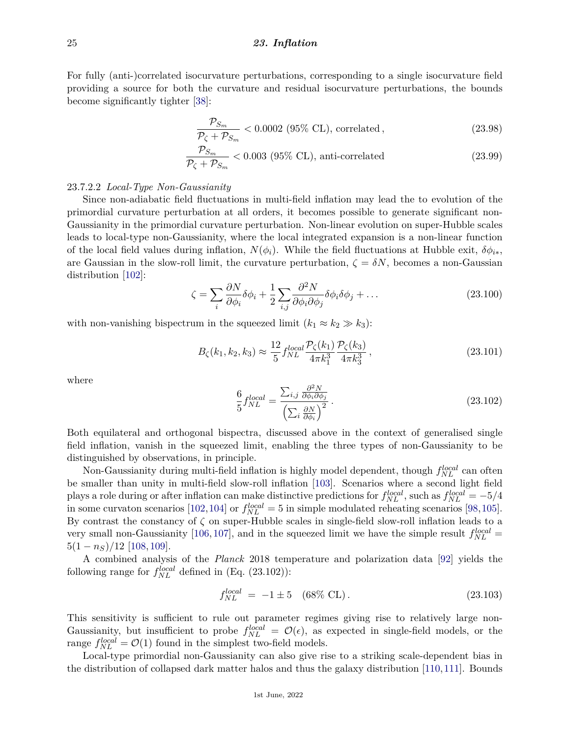For fully (anti-)correlated isocurvature perturbations, corresponding to a single isocurvature field providing a source for both the curvature and residual isocurvature perturbations, the bounds become significantly tighter [\[38\]](#page-28-10):

$$
\frac{\mathcal{P}_{S_m}}{\mathcal{P}_{\zeta} + \mathcal{P}_{S_m}} < 0.0002 \text{ (95\% CL)}, \text{ correlated,} \tag{23.98}
$$

$$
\frac{\mathcal{P}_{S_m}}{\mathcal{P}_{\zeta} + \mathcal{P}_{S_m}} < 0.003 \text{ (95\% CL), anti-correlated} \tag{23.99}
$$

## 23.7.2.2 *Local-Type Non-Gaussianity*

Since non-adiabatic field fluctuations in multi-field inflation may lead the to evolution of the primordial curvature perturbation at all orders, it becomes possible to generate significant non-Gaussianity in the primordial curvature perturbation. Non-linear evolution on super-Hubble scales leads to local-type non-Gaussianity, where the local integrated expansion is a non-linear function of the local field values during inflation,  $N(\phi_i)$ . While the field fluctuations at Hubble exit,  $\delta \phi_{i*}$ , are Gaussian in the slow-roll limit, the curvature perturbation,  $\zeta = \delta N$ , becomes a non-Gaussian distribution [\[102\]](#page-30-12):

$$
\zeta = \sum_{i} \frac{\partial N}{\partial \phi_i} \delta \phi_i + \frac{1}{2} \sum_{i,j} \frac{\partial^2 N}{\partial \phi_i \partial \phi_j} \delta \phi_i \delta \phi_j + \dots
$$
 (23.100)

with non-vanishing bispectrum in the squeezed limit  $(k_1 \approx k_2 \gg k_3)$ :

$$
B_{\zeta}(k_1, k_2, k_3) \approx \frac{12}{5} f_{NL}^{local} \frac{\mathcal{P}_{\zeta}(k_1)}{4\pi k_1^3} \frac{\mathcal{P}_{\zeta}(k_3)}{4\pi k_3^3},\tag{23.101}
$$

where

$$
\frac{6}{5}f_{NL}^{local} = \frac{\sum_{i,j} \frac{\partial^2 N}{\partial \phi_i \partial \phi_j}}{\left(\sum_i \frac{\partial N}{\partial \phi_i}\right)^2}.
$$
\n(23.102)

Both equilateral and orthogonal bispectra, discussed above in the context of generalised single field inflation, vanish in the squeezed limit, enabling the three types of non-Gaussianity to be distinguished by observations, in principle.

Non-Gaussianity during multi-field inflation is highly model dependent, though  $f_{NL}^{local}$  can often be smaller than unity in multi-field slow-roll inflation [\[103\]](#page-30-13). Scenarios where a second light field plays a role during or after inflation can make distinctive predictions for  $f_{NL}^{local}$ , such as  $f_{NL}^{local} = -5/4$ in some curvaton scenarios [\[102,](#page-30-12)[104\]](#page-30-14) or  $f_{NL}^{local} = 5$  in simple modulated reheating scenarios [\[98,](#page-30-8)[105\]](#page-30-15). By contrast the constancy of *ζ* on super-Hubble scales in single-field slow-roll inflation leads to a very small non-Gaussianity [\[106,](#page-30-16) [107\]](#page-30-17), and in the squeezed limit we have the simple result  $f_{NL}^{local}$  =  $5(1 - n<sub>S</sub>)/12$  [\[108,](#page-30-18) [109\]](#page-30-19).

A combined analysis of the *Planck* 2018 temperature and polarization data [\[92\]](#page-30-2) yields the following range for  $f_{NL}^{local}$  defined in (Eq. (23.102)):

$$
f_{NL}^{local} = -1 \pm 5 \quad (68\% \text{ CL}). \tag{23.103}
$$

This sensitivity is sufficient to rule out parameter regimes giving rise to relatively large non-Gaussianity, but insufficient to probe  $f_{NL}^{local} = \mathcal{O}(\epsilon)$ , as expected in single-field models, or the range  $f_{NL}^{local} = \mathcal{O}(1)$  found in the simplest two-field models.

Local-type primordial non-Gaussianity can also give rise to a striking scale-dependent bias in the distribution of collapsed dark matter halos and thus the galaxy distribution [\[110,](#page-30-20)[111\]](#page-30-21). Bounds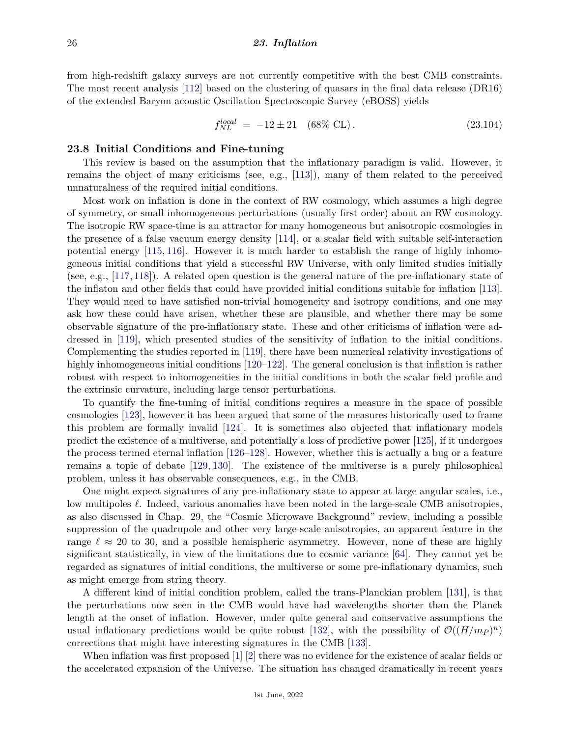from high-redshift galaxy surveys are not currently competitive with the best CMB constraints. The most recent analysis [\[112\]](#page-30-22) based on the clustering of quasars in the final data release (DR16) of the extended Baryon acoustic Oscillation Spectroscopic Survey (eBOSS) yields

$$
f_{NL}^{local} = -12 \pm 21 \quad (68\% \text{ CL}). \tag{23.104}
$$

### **23.8 Initial Conditions and Fine-tuning**

This review is based on the assumption that the inflationary paradigm is valid. However, it remains the object of many criticisms (see, e.g., [\[113\]](#page-30-23)), many of them related to the perceived unnaturalness of the required initial conditions.

Most work on inflation is done in the context of RW cosmology, which assumes a high degree of symmetry, or small inhomogeneous perturbations (usually first order) about an RW cosmology. The isotropic RW space-time is an attractor for many homogeneous but anisotropic cosmologies in the presence of a false vacuum energy density [\[114\]](#page-30-24), or a scalar field with suitable self-interaction potential energy [\[115,](#page-30-25) [116\]](#page-30-26). However it is much harder to establish the range of highly inhomogeneous initial conditions that yield a successful RW Universe, with only limited studies initially (see, e.g., [\[117,](#page-30-27) [118\]](#page-30-28)). A related open question is the general nature of the pre-inflationary state of the inflaton and other fields that could have provided initial conditions suitable for inflation [\[113\]](#page-30-23). They would need to have satisfied non-trivial homogeneity and isotropy conditions, and one may ask how these could have arisen, whether these are plausible, and whether there may be some observable signature of the pre-inflationary state. These and other criticisms of inflation were addressed in [\[119\]](#page-30-29), which presented studies of the sensitivity of inflation to the initial conditions. Complementing the studies reported in [\[119\]](#page-30-29), there have been numerical relativity investigations of highly inhomogeneous initial conditions [\[120–](#page-30-30)[122\]](#page-30-31). The general conclusion is that inflation is rather robust with respect to inhomogeneities in the initial conditions in both the scalar field profile and the extrinsic curvature, including large tensor perturbations.

To quantify the fine-tuning of initial conditions requires a measure in the space of possible cosmologies [\[123\]](#page-30-32), however it has been argued that some of the measures historically used to frame this problem are formally invalid [\[124\]](#page-31-0). It is sometimes also objected that inflationary models predict the existence of a multiverse, and potentially a loss of predictive power [\[125\]](#page-31-1), if it undergoes the process termed eternal inflation [\[126–](#page-31-2)[128\]](#page-31-3). However, whether this is actually a bug or a feature remains a topic of debate [\[129,](#page-31-4) [130\]](#page-31-5). The existence of the multiverse is a purely philosophical problem, unless it has observable consequences, e.g., in the CMB.

One might expect signatures of any pre-inflationary state to appear at large angular scales, i.e., low multipoles  $\ell$ . Indeed, various anomalies have been noted in the large-scale CMB anisotropies, as also discussed in Chap. 29, the "Cosmic Microwave Background" review, including a possible suppression of the quadrupole and other very large-scale anisotropies, an apparent feature in the range  $\ell \approx 20$  to 30, and a possible hemispheric asymmetry. However, none of these are highly significant statistically, in view of the limitations due to cosmic variance [\[64\]](#page-29-4). They cannot yet be regarded as signatures of initial conditions, the multiverse or some pre-inflationary dynamics, such as might emerge from string theory.

A different kind of initial condition problem, called the trans-Planckian problem [\[131\]](#page-31-6), is that the perturbations now seen in the CMB would have had wavelengths shorter than the Planck length at the onset of inflation. However, under quite general and conservative assumptions the usual inflationary predictions would be quite robust [\[132\]](#page-31-7), with the possibility of  $\mathcal{O}((H/m_P)^n)$ corrections that might have interesting signatures in the CMB [\[133\]](#page-31-8).

When inflation was first proposed [\[1\]](#page-27-0) [\[2\]](#page-27-1) there was no evidence for the existence of scalar fields or the accelerated expansion of the Universe. The situation has changed dramatically in recent years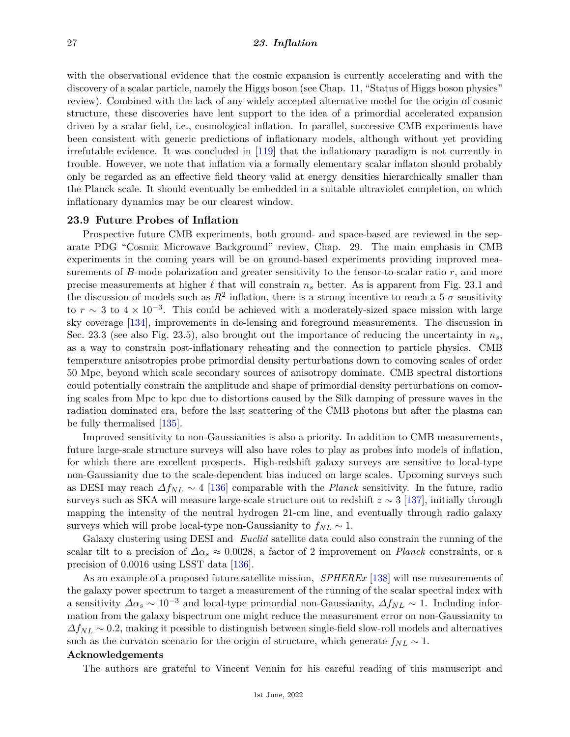with the observational evidence that the cosmic expansion is currently accelerating and with the discovery of a scalar particle, namely the Higgs boson (see Chap. 11, "Status of Higgs boson physics" review). Combined with the lack of any widely accepted alternative model for the origin of cosmic structure, these discoveries have lent support to the idea of a primordial accelerated expansion driven by a scalar field, i.e., cosmological inflation. In parallel, successive CMB experiments have been consistent with generic predictions of inflationary models, although without yet providing irrefutable evidence. It was concluded in [\[119\]](#page-30-29) that the inflationary paradigm is not currently in trouble. However, we note that inflation via a formally elementary scalar inflaton should probably only be regarded as an effective field theory valid at energy densities hierarchically smaller than the Planck scale. It should eventually be embedded in a suitable ultraviolet completion, on which inflationary dynamics may be our clearest window.

## **23.9 Future Probes of Inflation**

Prospective future CMB experiments, both ground- and space-based are reviewed in the separate PDG "Cosmic Microwave Background" review, Chap. 29. The main emphasis in CMB experiments in the coming years will be on ground-based experiments providing improved measurements of *B*-mode polarization and greater sensitivity to the tensor-to-scalar ratio *r*, and more precise measurements at higher  $\ell$  that will constrain  $n<sub>s</sub>$  better. As is apparent from Fig. 23.1 and the discussion of models such as  $R^2$  inflation, there is a strong incentive to reach a 5- $\sigma$  sensitivity to  $r \sim 3$  to  $4 \times 10^{-3}$ . This could be achieved with a moderately-sized space mission with large sky coverage [\[134\]](#page-31-9), improvements in de-lensing and foreground measurements. The discussion in Sec. 23.3 (see also Fig. 23.5), also brought out the importance of reducing the uncertainty in  $n<sub>s</sub>$ . as a way to constrain post-inflationary reheating and the connection to particle physics. CMB temperature anisotropies probe primordial density perturbations down to comoving scales of order 50 Mpc, beyond which scale secondary sources of anisotropy dominate. CMB spectral distortions could potentially constrain the amplitude and shape of primordial density perturbations on comoving scales from Mpc to kpc due to distortions caused by the Silk damping of pressure waves in the radiation dominated era, before the last scattering of the CMB photons but after the plasma can be fully thermalised [\[135\]](#page-31-10).

Improved sensitivity to non-Gaussianities is also a priority. In addition to CMB measurements, future large-scale structure surveys will also have roles to play as probes into models of inflation, for which there are excellent prospects. High-redshift galaxy surveys are sensitive to local-type non-Gaussianity due to the scale-dependent bias induced on large scales. Upcoming surveys such as DESI may reach *∆fNL* ∼ 4 [\[136\]](#page-31-11) comparable with the *Planck* sensitivity. In the future, radio surveys such as SKA will measure large-scale structure out to redshift *z* ∼ 3 [\[137\]](#page-31-12), initially through mapping the intensity of the neutral hydrogen 21-cm line, and eventually through radio galaxy surveys which will probe local-type non-Gaussianity to  $f_{NL} \sim 1$ .

Galaxy clustering using DESI and *Euclid* satellite data could also constrain the running of the scalar tilt to a precision of  $\Delta \alpha_s \approx 0.0028$ , a factor of 2 improvement on *Planck* constraints, or a precision of 0*.*0016 using LSST data [\[136\]](#page-31-11).

As an example of a proposed future satellite mission, *SPHEREx* [\[138\]](#page-31-13) will use measurements of the galaxy power spectrum to target a measurement of the running of the scalar spectral index with a sensitivity  $\Delta \alpha_s \sim 10^{-3}$  and local-type primordial non-Gaussianity,  $\Delta f_{NL} \sim 1$ . Including information from the galaxy bispectrum one might reduce the measurement error on non-Gaussianity to  $\Delta f_{NL} \sim 0.2$ , making it possible to distinguish between single-field slow-roll models and alternatives such as the curvaton scenario for the origin of structure, which generate  $f_{NL} \sim 1$ .

### **Acknowledgements**

The authors are grateful to Vincent Vennin for his careful reading of this manuscript and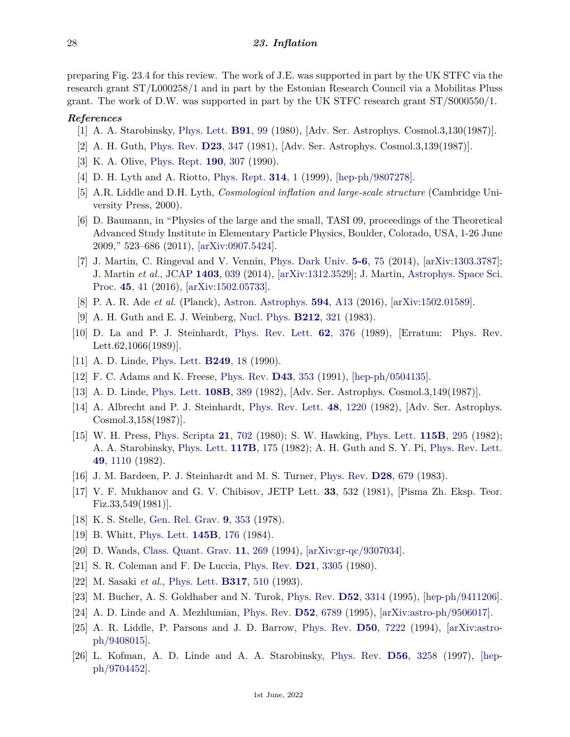preparing Fig. 23.4 for this review. The work of J.E. was supported in part by the UK STFC via the research grant ST/L000258/1 and in part by the Estonian Research Council via a Mobilitas Pluss grant. The work of D.W. was supported in part by the UK STFC research grant ST/S000550/1.

## <span id="page-27-0"></span>*References*

- [1] A. A. Starobinsky, [Phys. Lett.](http://doi.org/10.1016/0370-2693(80)90670-X) **[B91](http://doi.org/10.1016/0370-2693(80)90670-X)**, 99 (1980), [Adv. Ser. Astrophys. Cosmol.3,130(1987)].
- <span id="page-27-1"></span>[2] A. H. Guth, [Phys. Rev.](http://doi.org/10.1103/PhysRevD.23.347) **D23**[, 347](http://doi.org/10.1103/PhysRevD.23.347) (1981), [Adv. Ser. Astrophys. Cosmol.3,139(1987)].
- <span id="page-27-2"></span>[3] K. A. Olive, [Phys. Rept.](http://doi.org/10.1016/0370-1573(90)90144-Q) **190**[, 307](http://doi.org/10.1016/0370-1573(90)90144-Q) (1990).
- [4] D. H. Lyth and A. Riotto, [Phys. Rept.](http://doi.org/10.1016/S0370-1573(98)00128-8) **[314](http://doi.org/10.1016/S0370-1573(98)00128-8)**, 1 (1999), [\[hep-ph/9807278\].](https://arxiv.org/abs/hep-ph/9807278)
- [5] A.R. Liddle and D.H. Lyth, *Cosmological inflation and large-scale structure* (Cambridge University Press, 2000).
- [6] D. Baumann, in "Physics of the large and the small, TASI 09, proceedings of the Theoretical Advanced Study Institute in Elementary Particle Physics, Boulder, Colorado, USA, 1-26 June 2009," 523–686 (2011), [\[arXiv:0907.5424\].](https://arxiv.org/abs/0907.5424)
- <span id="page-27-3"></span>[7] J. Martin, C. Ringeval and V. Vennin, [Phys. Dark Univ.](http://doi.org/10.1016/j.dark.2014.01.003) **5-6**[, 75](http://doi.org/10.1016/j.dark.2014.01.003) (2014), [\[arXiv:1303.3787\];](https://arxiv.org/abs/1303.3787) J. Martin *et al.*, [JCAP](http://doi.org/10.1088/1475-7516/2014/03/039) **[1403](http://doi.org/10.1088/1475-7516/2014/03/039)**, 039 (2014), [\[arXiv:1312.3529\];](https://arxiv.org/abs/1312.3529) J. Martin, [Astrophys. Space Sci.](http://doi.org/10.1007/978-3-319-44769-8_2) [Proc.](http://doi.org/10.1007/978-3-319-44769-8_2) **45**[, 41](http://doi.org/10.1007/978-3-319-44769-8_2) (2016), [\[arXiv:1502.05733\].](https://arxiv.org/abs/1502.05733)
- <span id="page-27-4"></span>[8] P. A. R. Ade *et al.* (Planck), [Astron. Astrophys.](http://doi.org/10.1051/0004-6361/201525830) **594**[, A13](http://doi.org/10.1051/0004-6361/201525830) (2016), [\[arXiv:1502.01589\].](https://arxiv.org/abs/1502.01589)
- <span id="page-27-5"></span>[9] A. H. Guth and E. J. Weinberg, [Nucl. Phys.](http://doi.org/10.1016/0550-3213(83)90307-3) **[B212](http://doi.org/10.1016/0550-3213(83)90307-3)**, 321 (1983).
- <span id="page-27-6"></span>[10] D. La and P. J. Steinhardt, [Phys. Rev. Lett.](http://doi.org/10.1103/PhysRevLett.62.376) **62**[, 376](http://doi.org/10.1103/PhysRevLett.62.376) (1989), [Erratum: Phys. Rev. Lett.62,1066(1989)].
- [11] A. D. Linde, [Phys. Lett.](http://doi.org/10.1016/0370-2693(90)90521-7) **[B249](http://doi.org/10.1016/0370-2693(90)90521-7)**, 18 (1990).
- <span id="page-27-7"></span>[12] F. C. Adams and K. Freese, [Phys. Rev.](http://doi.org/10.1103/PhysRevD.43.353) **D43**[, 353](http://doi.org/10.1103/PhysRevD.43.353) (1991), [\[hep-ph/0504135\].](https://arxiv.org/abs/hep-ph/0504135)
- <span id="page-27-8"></span>[13] A. D. Linde, [Phys. Lett.](http://doi.org/10.1016/0370-2693(82)91219-9) **[108B](http://doi.org/10.1016/0370-2693(82)91219-9)**, 389 (1982), [Adv. Ser. Astrophys. Cosmol.3,149(1987)].
- <span id="page-27-9"></span>[14] A. Albrecht and P. J. Steinhardt, [Phys. Rev. Lett.](http://doi.org/10.1103/PhysRevLett.48.1220) **48**[, 1220](http://doi.org/10.1103/PhysRevLett.48.1220) (1982), [Adv. Ser. Astrophys. Cosmol.3,158(1987)].
- <span id="page-27-10"></span>[15] W. H. Press, [Phys. Scripta](http://doi.org/10.1088/0031-8949/21/5/021) **21**[, 702](http://doi.org/10.1088/0031-8949/21/5/021) (1980); S. W. Hawking, [Phys. Lett.](http://doi.org/10.1016/0370-2693(82)90373-2) **[115B](http://doi.org/10.1016/0370-2693(82)90373-2)**, 295 (1982); A. A. Starobinsky, [Phys. Lett.](http://doi.org/10.1016/0370-2693(82)90541-X) **[117B](http://doi.org/10.1016/0370-2693(82)90541-X)**, 175 (1982); A. H. Guth and S. Y. Pi, [Phys. Rev. Lett.](http://doi.org/10.1103/PhysRevLett.49.1110) **49**[, 1110](http://doi.org/10.1103/PhysRevLett.49.1110) (1982).
- <span id="page-27-11"></span>[16] J. M. Bardeen, P. J. Steinhardt and M. S. Turner, [Phys. Rev.](http://doi.org/10.1103/PhysRevD.28.679) **D28**[, 679](http://doi.org/10.1103/PhysRevD.28.679) (1983).
- <span id="page-27-12"></span>[17] V. F. Mukhanov and G. V. Chibisov, JETP Lett. **33**, 532 (1981), [Pisma Zh. Eksp. Teor. Fiz.33,549(1981)].
- <span id="page-27-13"></span>[18] K. S. Stelle, [Gen. Rel. Grav.](http://doi.org/10.1007/BF00760427) **9**[, 353](http://doi.org/10.1007/BF00760427) (1978).
- <span id="page-27-20"></span>[19] B. Whitt, [Phys. Lett.](http://doi.org/10.1016/0370-2693(84)90332-0) **[145B](http://doi.org/10.1016/0370-2693(84)90332-0)**, 176 (1984).
- <span id="page-27-14"></span>[20] D. Wands, [Class. Quant. Grav.](http://doi.org/10.1088/0264-9381/11/1/025) **11**[, 269](http://doi.org/10.1088/0264-9381/11/1/025) (1994), [\[arXiv:gr-qc/9307034\].](https://arxiv.org/abs/gr-qc/9307034)
- <span id="page-27-15"></span>[21] S. R. Coleman and F. De Luccia, [Phys. Rev.](http://doi.org/10.1103/PhysRevD.21.3305) **D21**[, 3305](http://doi.org/10.1103/PhysRevD.21.3305) (1980).
- <span id="page-27-16"></span>[22] M. Sasaki *et al.*, [Phys. Lett.](http://doi.org/10.1016/0370-2693(93)91364-S) **[B317](http://doi.org/10.1016/0370-2693(93)91364-S)**, 510 (1993).
- <span id="page-27-17"></span>[23] M. Bucher, A. S. Goldhaber and N. Turok, [Phys. Rev.](http://doi.org/10.1103/PhysRevD.52.3314) **D52**[, 3314](http://doi.org/10.1103/PhysRevD.52.3314) (1995), [\[hep-ph/9411206\].](https://arxiv.org/abs/hep-ph/9411206)
- [24] A. D. Linde and A. Mezhlumian, [Phys. Rev.](http://doi.org/10.1103/PhysRevD.52.6789) **D52**[, 6789](http://doi.org/10.1103/PhysRevD.52.6789) (1995), [\[arXiv:astro-ph/9506017\].](https://arxiv.org/abs/astro-ph/9506017)
- <span id="page-27-18"></span>[25] A. R. Liddle, P. Parsons and J. D. Barrow, [Phys. Rev.](http://doi.org/10.1103/PhysRevD.50.7222) **D50**[, 7222](http://doi.org/10.1103/PhysRevD.50.7222) (1994), [\[arXiv:astro](https://arxiv.org/abs/astro-ph/9408015)[ph/9408015\].](https://arxiv.org/abs/astro-ph/9408015)
- <span id="page-27-19"></span>[26] L. Kofman, A. D. Linde and A. A. Starobinsky, [Phys. Rev.](http://doi.org/10.1103/PhysRevD.56.3258) **D56**[, 3258](http://doi.org/10.1103/PhysRevD.56.3258) (1997), [\[hep](https://arxiv.org/abs/hep-ph/9704452)[ph/9704452\].](https://arxiv.org/abs/hep-ph/9704452)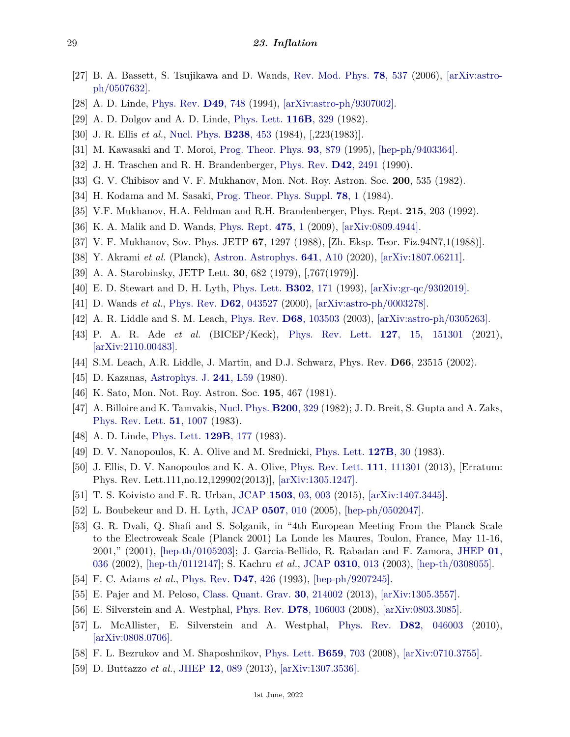- <span id="page-28-0"></span>[27] B. A. Bassett, S. Tsujikawa and D. Wands, [Rev. Mod. Phys.](http://doi.org/10.1103/RevModPhys.78.537) **78**[, 537](http://doi.org/10.1103/RevModPhys.78.537) (2006), [\[arXiv:astro](https://arxiv.org/abs/astro-ph/0507632)[ph/0507632\].](https://arxiv.org/abs/astro-ph/0507632)
- <span id="page-28-1"></span>[28] A. D. Linde, [Phys. Rev.](http://doi.org/10.1103/PhysRevD.49.748) **D49**[, 748](http://doi.org/10.1103/PhysRevD.49.748) (1994), [\[arXiv:astro-ph/9307002\].](https://arxiv.org/abs/astro-ph/9307002)
- <span id="page-28-2"></span>[29] A. D. Dolgov and A. D. Linde, [Phys. Lett.](http://doi.org/10.1016/0370-2693(82)90292-1) **[116B](http://doi.org/10.1016/0370-2693(82)90292-1)**, 329 (1982).
- <span id="page-28-3"></span>[30] J. R. Ellis *et al.*, [Nucl. Phys.](http://doi.org/10.1016/0550-3213(84)90461-9) **[B238](http://doi.org/10.1016/0550-3213(84)90461-9)**, 453 (1984), [,223(1983)].
- <span id="page-28-4"></span>[31] M. Kawasaki and T. Moroi, [Prog. Theor. Phys.](http://doi.org/10.1143/PTP.93.879) **93**[, 879](http://doi.org/10.1143/PTP.93.879) (1995), [\[hep-ph/9403364\].](https://arxiv.org/abs/hep-ph/9403364)
- <span id="page-28-5"></span>[32] J. H. Traschen and R. H. Brandenberger, [Phys. Rev.](http://doi.org/10.1103/PhysRevD.42.2491) **D42**[, 2491](http://doi.org/10.1103/PhysRevD.42.2491) (1990).
- <span id="page-28-6"></span>[33] G. V. Chibisov and V. F. Mukhanov, Mon. Not. Roy. Astron. Soc. **200**, 535 (1982).
- <span id="page-28-7"></span>[34] H. Kodama and M. Sasaki, [Prog. Theor. Phys. Suppl.](http://doi.org/10.1143/PTPS.78.1) **[78](http://doi.org/10.1143/PTPS.78.1)**, 1 (1984).
- [35] V.F. Mukhanov, H.A. Feldman and R.H. Brandenberger, Phys. Rept. **215**, 203 (1992).
- <span id="page-28-8"></span>[36] K. A. Malik and D. Wands, [Phys. Rept.](http://doi.org/10.1016/j.physrep.2009.03.001) **[475](http://doi.org/10.1016/j.physrep.2009.03.001)**, 1 (2009), [\[arXiv:0809.4944\].](https://arxiv.org/abs/0809.4944)
- <span id="page-28-9"></span>[37] V. F. Mukhanov, Sov. Phys. JETP **67**, 1297 (1988), [Zh. Eksp. Teor. Fiz.94N7,1(1988)].
- <span id="page-28-10"></span>[38] Y. Akrami *et al.* (Planck), [Astron. Astrophys.](http://doi.org/10.1051/0004-6361/201833887) **641**[, A10](http://doi.org/10.1051/0004-6361/201833887) (2020), [\[arXiv:1807.06211\].](https://arxiv.org/abs/1807.06211)
- <span id="page-28-11"></span>[39] A. A. Starobinsky, JETP Lett. **30**, 682 (1979), [,767(1979)].
- <span id="page-28-12"></span>[40] E. D. Stewart and D. H. Lyth, [Phys. Lett.](http://doi.org/10.1016/0370-2693(93)90379-V) **[B302](http://doi.org/10.1016/0370-2693(93)90379-V)**, 171 (1993), [\[arXiv:gr-qc/9302019\].](https://arxiv.org/abs/gr-qc/9302019)
- <span id="page-28-13"></span>[41] D. Wands *et al.*, [Phys. Rev.](http://doi.org/10.1103/PhysRevD.62.043527) **D62**[, 043527](http://doi.org/10.1103/PhysRevD.62.043527) (2000), [\[arXiv:astro-ph/0003278\].](https://arxiv.org/abs/astro-ph/0003278)
- <span id="page-28-14"></span>[42] A. R. Liddle and S. M. Leach, [Phys. Rev.](http://doi.org/10.1103/PhysRevD.68.103503) **D68**[, 103503](http://doi.org/10.1103/PhysRevD.68.103503) (2003), [\[arXiv:astro-ph/0305263\].](https://arxiv.org/abs/astro-ph/0305263)
- <span id="page-28-15"></span>[43] P. A. R. Ade *et al.* (BICEP/Keck), [Phys. Rev. Lett.](http://doi.org/10.1103/PhysRevLett.127.151301) **127**[, 15, 151301](http://doi.org/10.1103/PhysRevLett.127.151301) (2021), [\[arXiv:2110.00483\].](https://arxiv.org/abs/2110.00483)
- <span id="page-28-16"></span>[44] S.M. Leach, A.R. Liddle, J. Martin, and D.J. Schwarz, Phys. Rev. **D66**, 23515 (2002).
- <span id="page-28-17"></span>[45] D. Kazanas, [Astrophys. J.](http://doi.org/10.1086/183361) **241**[, L59](http://doi.org/10.1086/183361) (1980).
- <span id="page-28-18"></span>[46] K. Sato, Mon. Not. Roy. Astron. Soc. **195**, 467 (1981).
- <span id="page-28-19"></span>[47] A. Billoire and K. Tamvakis, [Nucl. Phys.](http://doi.org/10.1016/0550-3213(82)90090-6) **[B200](http://doi.org/10.1016/0550-3213(82)90090-6)**, 329 (1982); J. D. Breit, S. Gupta and A. Zaks, [Phys. Rev. Lett.](http://doi.org/10.1103/PhysRevLett.51.1007) **51**[, 1007](http://doi.org/10.1103/PhysRevLett.51.1007) (1983).
- <span id="page-28-20"></span>[48] A. D. Linde, [Phys. Lett.](http://doi.org/10.1016/0370-2693(83)90837-7) **[129B](http://doi.org/10.1016/0370-2693(83)90837-7)**, 177 (1983).
- <span id="page-28-21"></span>[49] D. V. Nanopoulos, K. A. Olive and M. Srednicki, [Phys. Lett.](http://doi.org/10.1016/0370-2693(83)91624-6) **[127B](http://doi.org/10.1016/0370-2693(83)91624-6)**, 30 (1983).
- <span id="page-28-22"></span>[50] J. Ellis, D. V. Nanopoulos and K. A. Olive, [Phys. Rev. Lett.](http://doi.org/10.1103/PhysRevLett.111.129902) **111**[, 111301](http://doi.org/10.1103/PhysRevLett.111.129902) (2013), [Erratum: Phys. Rev. Lett.111,no.12,129902(2013)], [\[arXiv:1305.1247\].](https://arxiv.org/abs/1305.1247)
- <span id="page-28-23"></span>[51] T. S. Koivisto and F. R. Urban, [JCAP](http://doi.org/10.1088/1475-7516/2015/03/003) **1503**[, 03, 003](http://doi.org/10.1088/1475-7516/2015/03/003) (2015), [\[arXiv:1407.3445\].](https://arxiv.org/abs/1407.3445)
- <span id="page-28-24"></span>[52] L. Boubekeur and D. H. Lyth, [JCAP](http://doi.org/10.1088/1475-7516/2005/07/010) **[0507](http://doi.org/10.1088/1475-7516/2005/07/010)**, 010 (2005), [\[hep-ph/0502047\].](https://arxiv.org/abs/hep-ph/0502047)
- <span id="page-28-25"></span>[53] G. R. Dvali, Q. Shafi and S. Solganik, in "4th European Meeting From the Planck Scale to the Electroweak Scale (Planck 2001) La Londe les Maures, Toulon, France, May 11-16, 2001," (2001), [\[hep-th/0105203\];](https://arxiv.org/abs/hep-th/0105203) J. Garcia-Bellido, R. Rabadan and F. Zamora, [JHEP](http://doi.org/10.1088/1126-6708/2002/01/036) **[01](http://doi.org/10.1088/1126-6708/2002/01/036)**, [036](http://doi.org/10.1088/1126-6708/2002/01/036) (2002), [\[hep-th/0112147\];](https://arxiv.org/abs/hep-th/0112147) S. Kachru *et al.*, [JCAP](http://doi.org/10.1088/1475-7516/2003/10/013) **[0310](http://doi.org/10.1088/1475-7516/2003/10/013)**, 013 (2003), [\[hep-th/0308055\].](https://arxiv.org/abs/hep-th/0308055)
- <span id="page-28-26"></span>[54] F. C. Adams *et al.*, [Phys. Rev.](http://doi.org/10.1103/PhysRevD.47.426) **D47**[, 426](http://doi.org/10.1103/PhysRevD.47.426) (1993), [\[hep-ph/9207245\].](https://arxiv.org/abs/hep-ph/9207245)
- <span id="page-28-27"></span>[55] E. Pajer and M. Peloso, [Class. Quant. Grav.](http://doi.org/10.1088/0264-9381/30/21/214002) **30**[, 214002](http://doi.org/10.1088/0264-9381/30/21/214002) (2013), [\[arXiv:1305.3557\].](https://arxiv.org/abs/1305.3557)
- <span id="page-28-28"></span>[56] E. Silverstein and A. Westphal, [Phys. Rev.](http://doi.org/10.1103/PhysRevD.78.106003) **D78**[, 106003](http://doi.org/10.1103/PhysRevD.78.106003) (2008), [\[arXiv:0803.3085\].](https://arxiv.org/abs/0803.3085)
- <span id="page-28-29"></span>[57] L. McAllister, E. Silverstein and A. Westphal, [Phys. Rev.](http://doi.org/10.1103/PhysRevD.82.046003) **D82**[, 046003](http://doi.org/10.1103/PhysRevD.82.046003) (2010), [\[arXiv:0808.0706\].](https://arxiv.org/abs/0808.0706)
- <span id="page-28-30"></span>[58] F. L. Bezrukov and M. Shaposhnikov, [Phys. Lett.](http://doi.org/10.1016/j.physletb.2007.11.072) **[B659](http://doi.org/10.1016/j.physletb.2007.11.072)**, 703 (2008), [\[arXiv:0710.3755\].](https://arxiv.org/abs/0710.3755)
- <span id="page-28-31"></span>[59] D. Buttazzo *et al.*, [JHEP](http://doi.org/10.1007/JHEP12(2013)089) **12**[, 089](http://doi.org/10.1007/JHEP12(2013)089) (2013), [\[arXiv:1307.3536\].](https://arxiv.org/abs/1307.3536)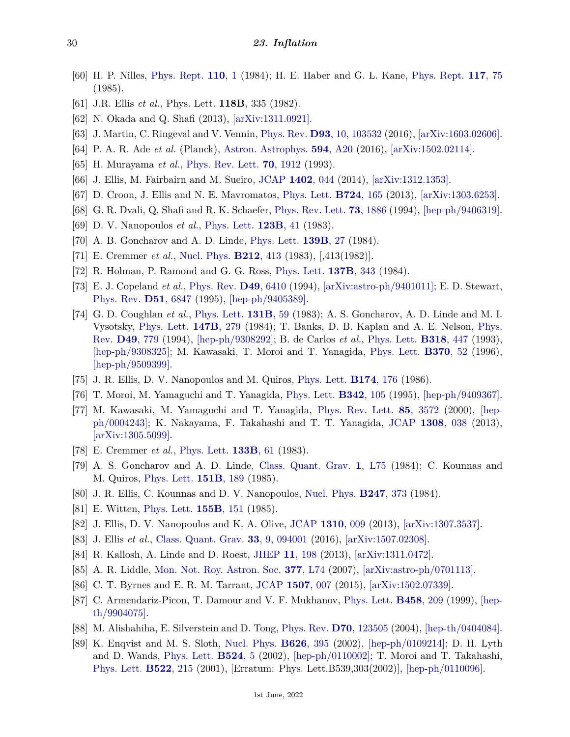- <span id="page-29-0"></span>[60] H. P. Nilles, [Phys. Rept.](http://doi.org/10.1016/0370-1573(84)90008-5) **[110](http://doi.org/10.1016/0370-1573(84)90008-5)**, 1 (1984); H. E. Haber and G. L. Kane, [Phys. Rept.](http://doi.org/10.1016/0370-1573(85)90051-1) **[117](http://doi.org/10.1016/0370-1573(85)90051-1)**, 75 (1985).
- <span id="page-29-1"></span>[61] J.R. Ellis *et al.*, Phys. Lett. **118B**, 335 (1982).
- <span id="page-29-2"></span>[62] N. Okada and Q. Shafi (2013), [\[arXiv:1311.0921\].](https://arxiv.org/abs/1311.0921)
- <span id="page-29-3"></span>[63] J. Martin, C. Ringeval and V. Vennin, [Phys. Rev.](http://doi.org/10.1103/PhysRevD.93.103532) **D93**[, 10, 103532](http://doi.org/10.1103/PhysRevD.93.103532) (2016), [\[arXiv:1603.02606\].](https://arxiv.org/abs/1603.02606)
- <span id="page-29-4"></span>[64] P. A. R. Ade *et al.* (Planck), [Astron. Astrophys.](http://doi.org/10.1051/0004-6361/201525898) **594**[, A20](http://doi.org/10.1051/0004-6361/201525898) (2016), [\[arXiv:1502.02114\].](https://arxiv.org/abs/1502.02114)
- <span id="page-29-5"></span>[65] H. Murayama *et al.*, [Phys. Rev. Lett.](http://doi.org/10.1103/PhysRevLett.70.1912) **70**[, 1912](http://doi.org/10.1103/PhysRevLett.70.1912) (1993).
- <span id="page-29-6"></span>[66] J. Ellis, M. Fairbairn and M. Sueiro, [JCAP](http://doi.org/10.1088/1475-7516/2014/02/044) **[1402](http://doi.org/10.1088/1475-7516/2014/02/044)**, 044 (2014), [\[arXiv:1312.1353\].](https://arxiv.org/abs/1312.1353)
- <span id="page-29-7"></span>[67] D. Croon, J. Ellis and N. E. Mavromatos, [Phys. Lett.](http://doi.org/10.1016/j.physletb.2013.06.016) **[B724](http://doi.org/10.1016/j.physletb.2013.06.016)**, 165 (2013), [\[arXiv:1303.6253\].](https://arxiv.org/abs/1303.6253)
- <span id="page-29-8"></span>[68] G. R. Dvali, Q. Shafi and R. K. Schaefer, [Phys. Rev. Lett.](http://doi.org/10.1103/PhysRevLett.73.1886) **73**[, 1886](http://doi.org/10.1103/PhysRevLett.73.1886) (1994), [\[hep-ph/9406319\].](https://arxiv.org/abs/hep-ph/9406319)
- <span id="page-29-9"></span>[69] D. V. Nanopoulos *et al.*, [Phys. Lett.](http://doi.org/10.1016/0370-2693(83)90954-1) **[123B](http://doi.org/10.1016/0370-2693(83)90954-1)**, 41 (1983).
- <span id="page-29-10"></span>[70] A. B. Goncharov and A. D. Linde, [Phys. Lett.](http://doi.org/10.1016/0370-2693(84)90027-3) **[139B](http://doi.org/10.1016/0370-2693(84)90027-3)**, 27 (1984).
- <span id="page-29-11"></span>[71] E. Cremmer *et al.*, [Nucl. Phys.](http://doi.org/10.1016/0550-3213(83)90679-X) **[B212](http://doi.org/10.1016/0550-3213(83)90679-X)**, 413 (1983), [,413(1982)].
- <span id="page-29-12"></span>[72] R. Holman, P. Ramond and G. G. Ross, [Phys. Lett.](http://doi.org/10.1016/0370-2693(84)91729-5) **[137B](http://doi.org/10.1016/0370-2693(84)91729-5)**, 343 (1984).
- <span id="page-29-13"></span>[73] E. J. Copeland *et al.*, [Phys. Rev.](http://doi.org/10.1103/PhysRevD.49.6410) **D49**[, 6410](http://doi.org/10.1103/PhysRevD.49.6410) (1994), [\[arXiv:astro-ph/9401011\];](https://arxiv.org/abs/astro-ph/9401011) E. D. Stewart, [Phys. Rev.](http://doi.org/10.1103/PhysRevD.51.6847) **D51**[, 6847](http://doi.org/10.1103/PhysRevD.51.6847) (1995), [\[hep-ph/9405389\].](https://arxiv.org/abs/hep-ph/9405389)
- <span id="page-29-14"></span>[74] G. D. Coughlan *et al.*, [Phys. Lett.](http://doi.org/10.1016/0370-2693(83)91091-2) **[131B](http://doi.org/10.1016/0370-2693(83)91091-2)**, 59 (1983); A. S. Goncharov, A. D. Linde and M. I. Vysotsky, [Phys. Lett.](http://doi.org/10.1016/0370-2693(84)90116-3) **[147B](http://doi.org/10.1016/0370-2693(84)90116-3)**, 279 (1984); T. Banks, D. B. Kaplan and A. E. Nelson, [Phys.](http://doi.org/10.1103/PhysRevD.49.779) [Rev.](http://doi.org/10.1103/PhysRevD.49.779) **D49**[, 779](http://doi.org/10.1103/PhysRevD.49.779) (1994), [\[hep-ph/9308292\];](https://arxiv.org/abs/hep-ph/9308292) B. de Carlos *et al.*, [Phys. Lett.](http://doi.org/10.1016/0370-2693(93)91538-X) **[B318](http://doi.org/10.1016/0370-2693(93)91538-X)**, 447 (1993), [\[hep-ph/9308325\];](https://arxiv.org/abs/hep-ph/9308325) M. Kawasaki, T. Moroi and T. Yanagida, [Phys. Lett.](http://doi.org/10.1016/0370-2693(95)01546-9) **[B370](http://doi.org/10.1016/0370-2693(95)01546-9)**, 52 (1996), [\[hep-ph/9509399\].](https://arxiv.org/abs/hep-ph/9509399)
- [75] J. R. Ellis, D. V. Nanopoulos and M. Quiros, [Phys. Lett.](http://doi.org/10.1016/0370-2693(86)90736-7) **[B174](http://doi.org/10.1016/0370-2693(86)90736-7)**, 176 (1986).
- <span id="page-29-15"></span>[76] T. Moroi, M. Yamaguchi and T. Yanagida, [Phys. Lett.](http://doi.org/10.1016/0370-2693(94)01337-C) **[B342](http://doi.org/10.1016/0370-2693(94)01337-C)**, 105 (1995), [\[hep-ph/9409367\].](https://arxiv.org/abs/hep-ph/9409367)
- <span id="page-29-16"></span>[77] M. Kawasaki, M. Yamaguchi and T. Yanagida, [Phys. Rev. Lett.](http://doi.org/10.1103/PhysRevLett.85.3572) **85**[, 3572](http://doi.org/10.1103/PhysRevLett.85.3572) (2000), [\[hep](https://arxiv.org/abs/hep-ph/0004243)[ph/0004243\];](https://arxiv.org/abs/hep-ph/0004243) K. Nakayama, F. Takahashi and T. T. Yanagida, [JCAP](http://doi.org/10.1088/1475-7516/2013/08/038) **[1308](http://doi.org/10.1088/1475-7516/2013/08/038)**, 038 (2013), [\[arXiv:1305.5099\].](https://arxiv.org/abs/1305.5099)
- <span id="page-29-17"></span>[78] E. Cremmer *et al.*, [Phys. Lett.](http://doi.org/10.1016/0370-2693(83)90106-5) **[133B](http://doi.org/10.1016/0370-2693(83)90106-5)**, 61 (1983).
- <span id="page-29-18"></span>[79] A. S. Goncharov and A. D. Linde, [Class. Quant. Grav.](http://doi.org/10.1088/0264-9381/1/6/004) **1**[, L75](http://doi.org/10.1088/0264-9381/1/6/004) (1984); C. Kounnas and M. Quiros, [Phys. Lett.](http://doi.org/10.1016/0370-2693(85)90832-9) **[151B](http://doi.org/10.1016/0370-2693(85)90832-9)**, 189 (1985).
- <span id="page-29-19"></span>[80] J. R. Ellis, C. Kounnas and D. V. Nanopoulos, [Nucl. Phys.](http://doi.org/10.1016/0550-3213(84)90555-8) **[B247](http://doi.org/10.1016/0550-3213(84)90555-8)**, 373 (1984).
- <span id="page-29-20"></span>[81] E. Witten, [Phys. Lett.](http://doi.org/10.1016/0370-2693(85)90976-1) **[155B](http://doi.org/10.1016/0370-2693(85)90976-1)**, 151 (1985).
- <span id="page-29-22"></span><span id="page-29-21"></span>[82] J. Ellis, D. V. Nanopoulos and K. A. Olive, [JCAP](http://doi.org/10.1088/1475-7516/2013/10/009) **[1310](http://doi.org/10.1088/1475-7516/2013/10/009)**, 009 (2013), [\[arXiv:1307.3537\].](https://arxiv.org/abs/1307.3537)
- [83] J. Ellis *et al.*, [Class. Quant. Grav.](http://doi.org/10.1088/0264-9381/33/9/094001) **33**[, 9, 094001](http://doi.org/10.1088/0264-9381/33/9/094001) (2016), [\[arXiv:1507.02308\].](https://arxiv.org/abs/1507.02308)
- <span id="page-29-23"></span>[84] R. Kallosh, A. Linde and D. Roest, [JHEP](http://doi.org/10.1007/JHEP11(2013)198) **11**[, 198](http://doi.org/10.1007/JHEP11(2013)198) (2013), [\[arXiv:1311.0472\].](https://arxiv.org/abs/1311.0472)
- <span id="page-29-24"></span>[85] A. R. Liddle, [Mon. Not. Roy. Astron. Soc.](http://doi.org/10.1111/j.1745-3933.2007.00306.x) **377**[, L74](http://doi.org/10.1111/j.1745-3933.2007.00306.x) (2007), [\[arXiv:astro-ph/0701113\].](https://arxiv.org/abs/astro-ph/0701113)
- <span id="page-29-25"></span>[86] C. T. Byrnes and E. R. M. Tarrant, [JCAP](http://doi.org/10.1088/1475-7516/2015/07/007) **[1507](http://doi.org/10.1088/1475-7516/2015/07/007)**, 007 (2015), [\[arXiv:1502.07339\].](https://arxiv.org/abs/1502.07339)
- <span id="page-29-26"></span>[87] C. Armendariz-Picon, T. Damour and V. F. Mukhanov, [Phys. Lett.](http://doi.org/10.1016/S0370-2693(99)00603-6) **[B458](http://doi.org/10.1016/S0370-2693(99)00603-6)**, 209 (1999), [\[hep](https://arxiv.org/abs/hep-th/9904075)[th/9904075\].](https://arxiv.org/abs/hep-th/9904075)
- <span id="page-29-27"></span>[88] M. Alishahiha, E. Silverstein and D. Tong, [Phys. Rev.](http://doi.org/10.1103/PhysRevD.70.123505) **D70**[, 123505](http://doi.org/10.1103/PhysRevD.70.123505) (2004), [\[hep-th/0404084\].](https://arxiv.org/abs/hep-th/0404084)
- <span id="page-29-28"></span>[89] K. Enqvist and M. S. Sloth, [Nucl. Phys.](http://doi.org/10.1016/S0550-3213(02)00043-3) **[B626](http://doi.org/10.1016/S0550-3213(02)00043-3)**, 395 (2002), [\[hep-ph/0109214\];](https://arxiv.org/abs/hep-ph/0109214) D. H. Lyth and D. Wands, [Phys. Lett.](http://doi.org/10.1016/S0370-2693(01)01366-1) **[B524](http://doi.org/10.1016/S0370-2693(01)01366-1)**, 5 (2002), [\[hep-ph/0110002\];](https://arxiv.org/abs/hep-ph/0110002) T. Moroi and T. Takahashi, [Phys. Lett.](http://doi.org/10.1016/S0370-2693(02)02070-1) **[B522](http://doi.org/10.1016/S0370-2693(02)02070-1)**, 215 (2001), [Erratum: Phys. Lett.B539,303(2002)], [\[hep-ph/0110096\].](https://arxiv.org/abs/hep-ph/0110096)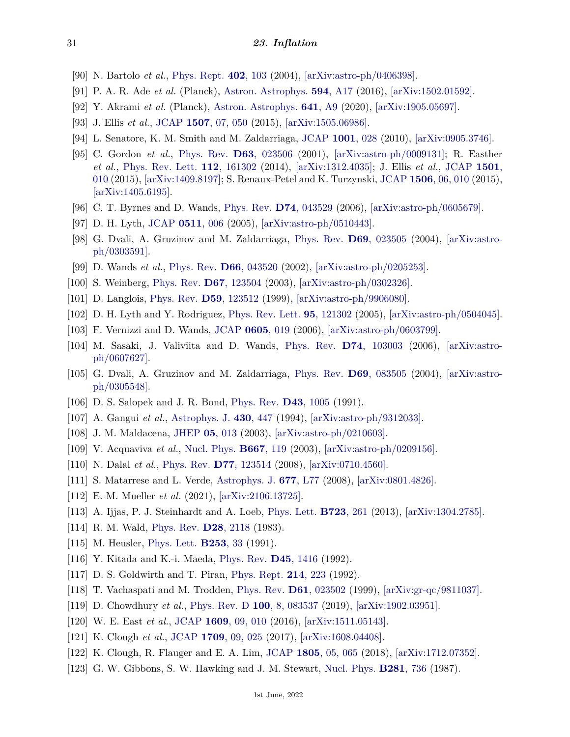- <span id="page-30-0"></span>[90] N. Bartolo *et al.*, [Phys. Rept.](http://doi.org/10.1016/j.physrep.2004.08.022) **402**[, 103](http://doi.org/10.1016/j.physrep.2004.08.022) (2004), [\[arXiv:astro-ph/0406398\].](https://arxiv.org/abs/astro-ph/0406398)
- <span id="page-30-1"></span>[91] P. A. R. Ade *et al.* (Planck), [Astron. Astrophys.](http://doi.org/10.1051/0004-6361/201525836) **594**[, A17](http://doi.org/10.1051/0004-6361/201525836) (2016), [\[arXiv:1502.01592\].](https://arxiv.org/abs/1502.01592)
- <span id="page-30-2"></span>[92] Y. Akrami *et al.* (Planck), [Astron. Astrophys.](http://doi.org/10.1051/0004-6361/201935891) **641**[, A9](http://doi.org/10.1051/0004-6361/201935891) (2020), [\[arXiv:1905.05697\].](https://arxiv.org/abs/1905.05697)
- <span id="page-30-3"></span>[93] J. Ellis *et al.*, [JCAP](http://doi.org/10.1088/1475-7516/2015/07/050) **1507**[, 07, 050](http://doi.org/10.1088/1475-7516/2015/07/050) (2015), [\[arXiv:1505.06986\].](https://arxiv.org/abs/1505.06986)
- <span id="page-30-4"></span>[94] L. Senatore, K. M. Smith and M. Zaldarriaga, [JCAP](http://doi.org/10.1088/1475-7516/2010/01/028) **[1001](http://doi.org/10.1088/1475-7516/2010/01/028)**, 028 (2010), [\[arXiv:0905.3746\].](https://arxiv.org/abs/0905.3746)
- <span id="page-30-5"></span>[95] C. Gordon *et al.*, [Phys. Rev.](http://doi.org/10.1103/PhysRevD.63.023506) **D63**[, 023506](http://doi.org/10.1103/PhysRevD.63.023506) (2001), [\[arXiv:astro-ph/0009131\];](https://arxiv.org/abs/astro-ph/0009131) R. Easther *et al.*, [Phys. Rev. Lett.](http://doi.org/10.1103/PhysRevLett.112.161302) **112**[, 161302](http://doi.org/10.1103/PhysRevLett.112.161302) (2014), [\[arXiv:1312.4035\];](https://arxiv.org/abs/1312.4035) J. Ellis *et al.*, [JCAP](http://doi.org/10.1088/1475-7516/2015/01/010) **[1501](http://doi.org/10.1088/1475-7516/2015/01/010)**, [010](http://doi.org/10.1088/1475-7516/2015/01/010) (2015), [\[arXiv:1409.8197\];](https://arxiv.org/abs/1409.8197) S. Renaux-Petel and K. Turzynski, [JCAP](http://doi.org/10.1088/1475-7516/2015/06/010) **1506**[, 06, 010](http://doi.org/10.1088/1475-7516/2015/06/010) (2015), [\[arXiv:1405.6195\].](https://arxiv.org/abs/1405.6195)
- <span id="page-30-6"></span>[96] C. T. Byrnes and D. Wands, [Phys. Rev.](http://doi.org/10.1103/PhysRevD.74.043529) **D74**[, 043529](http://doi.org/10.1103/PhysRevD.74.043529) (2006), [\[arXiv:astro-ph/0605679\].](https://arxiv.org/abs/astro-ph/0605679)
- <span id="page-30-7"></span>[97] D. H. Lyth, [JCAP](http://doi.org/10.1088/1475-7516/2005/11/006) **[0511](http://doi.org/10.1088/1475-7516/2005/11/006)**, 006 (2005), [\[arXiv:astro-ph/0510443\].](https://arxiv.org/abs/astro-ph/0510443)
- <span id="page-30-8"></span>[98] G. Dvali, A. Gruzinov and M. Zaldarriaga, [Phys. Rev.](http://doi.org/10.1103/PhysRevD.69.023505) **D69**[, 023505](http://doi.org/10.1103/PhysRevD.69.023505) (2004), [\[arXiv:astro](https://arxiv.org/abs/astro-ph/0303591)[ph/0303591\].](https://arxiv.org/abs/astro-ph/0303591)
- <span id="page-30-9"></span>[99] D. Wands *et al.*, [Phys. Rev.](http://doi.org/10.1103/PhysRevD.66.043520) **D66**[, 043520](http://doi.org/10.1103/PhysRevD.66.043520) (2002), [\[arXiv:astro-ph/0205253\].](https://arxiv.org/abs/astro-ph/0205253)
- <span id="page-30-10"></span>[100] S. Weinberg, [Phys. Rev.](http://doi.org/10.1103/PhysRevD.67.123504) **D67**[, 123504](http://doi.org/10.1103/PhysRevD.67.123504) (2003), [\[arXiv:astro-ph/0302326\].](https://arxiv.org/abs/astro-ph/0302326)
- <span id="page-30-11"></span>[101] D. Langlois, [Phys. Rev.](http://doi.org/10.1103/PhysRevD.59.123512) **D59**[, 123512](http://doi.org/10.1103/PhysRevD.59.123512) (1999), [\[arXiv:astro-ph/9906080\].](https://arxiv.org/abs/astro-ph/9906080)
- <span id="page-30-12"></span>[102] D. H. Lyth and Y. Rodriguez, [Phys. Rev. Lett.](http://doi.org/10.1103/PhysRevLett.95.121302) **95**[, 121302](http://doi.org/10.1103/PhysRevLett.95.121302) (2005), [\[arXiv:astro-ph/0504045\].](https://arxiv.org/abs/astro-ph/0504045)
- <span id="page-30-13"></span>[103] F. Vernizzi and D. Wands, [JCAP](http://doi.org/10.1088/1475-7516/2006/05/019) **[0605](http://doi.org/10.1088/1475-7516/2006/05/019)**, 019 (2006), [\[arXiv:astro-ph/0603799\].](https://arxiv.org/abs/astro-ph/0603799)
- <span id="page-30-14"></span>[104] M. Sasaki, J. Valiviita and D. Wands, [Phys. Rev.](http://doi.org/10.1103/PhysRevD.74.103003) **D74**[, 103003](http://doi.org/10.1103/PhysRevD.74.103003) (2006), [\[arXiv:astro](https://arxiv.org/abs/astro-ph/0607627)[ph/0607627\].](https://arxiv.org/abs/astro-ph/0607627)
- <span id="page-30-15"></span>[105] G. Dvali, A. Gruzinov and M. Zaldarriaga, [Phys. Rev.](http://doi.org/10.1103/PhysRevD.69.083505) **D69**[, 083505](http://doi.org/10.1103/PhysRevD.69.083505) (2004), [\[arXiv:astro](https://arxiv.org/abs/astro-ph/0305548)[ph/0305548\].](https://arxiv.org/abs/astro-ph/0305548)
- <span id="page-30-16"></span>[106] D. S. Salopek and J. R. Bond, [Phys. Rev.](http://doi.org/10.1103/PhysRevD.43.1005) **D43**[, 1005](http://doi.org/10.1103/PhysRevD.43.1005) (1991).
- <span id="page-30-17"></span>[107] A. Gangui *et al.*, [Astrophys. J.](http://doi.org/10.1086/174421) **430**[, 447](http://doi.org/10.1086/174421) (1994), [\[arXiv:astro-ph/9312033\].](https://arxiv.org/abs/astro-ph/9312033)
- <span id="page-30-18"></span>[108] J. M. Maldacena, [JHEP](http://doi.org/10.1088/1126-6708/2003/05/013) **05**[, 013](http://doi.org/10.1088/1126-6708/2003/05/013) (2003), [\[arXiv:astro-ph/0210603\].](https://arxiv.org/abs/astro-ph/0210603)
- <span id="page-30-19"></span>[109] V. Acquaviva *et al.*, [Nucl. Phys.](http://doi.org/10.1016/S0550-3213(03)00550-9) **[B667](http://doi.org/10.1016/S0550-3213(03)00550-9)**, 119 (2003), [\[arXiv:astro-ph/0209156\].](https://arxiv.org/abs/astro-ph/0209156)
- <span id="page-30-20"></span>[110] N. Dalal *et al.*, [Phys. Rev.](http://doi.org/10.1103/PhysRevD.77.123514) **D77**[, 123514](http://doi.org/10.1103/PhysRevD.77.123514) (2008), [\[arXiv:0710.4560\].](https://arxiv.org/abs/0710.4560)
- <span id="page-30-21"></span>[111] S. Matarrese and L. Verde, [Astrophys. J.](http://doi.org/10.1086/587840) **677**[, L77](http://doi.org/10.1086/587840) (2008), [\[arXiv:0801.4826\].](https://arxiv.org/abs/0801.4826)
- <span id="page-30-22"></span>[112] E.-M. Mueller *et al.* (2021), [\[arXiv:2106.13725\].](https://arxiv.org/abs/2106.13725)
- <span id="page-30-23"></span>[113] A. Ijjas, P. J. Steinhardt and A. Loeb, [Phys. Lett.](http://doi.org/10.1016/j.physletb.2013.05.023) **[B723](http://doi.org/10.1016/j.physletb.2013.05.023)**, 261 (2013), [\[arXiv:1304.2785\].](https://arxiv.org/abs/1304.2785)
- <span id="page-30-24"></span>[114] R. M. Wald, [Phys. Rev.](http://doi.org/10.1103/PhysRevD.28.2118) **D28**[, 2118](http://doi.org/10.1103/PhysRevD.28.2118) (1983).
- <span id="page-30-25"></span>[115] M. Heusler, [Phys. Lett.](http://doi.org/10.1016/0370-2693(91)91359-4) **[B253](http://doi.org/10.1016/0370-2693(91)91359-4)**, 33 (1991).
- <span id="page-30-26"></span>[116] Y. Kitada and K.-i. Maeda, [Phys. Rev.](http://doi.org/10.1103/PhysRevD.45.1416) **D45**[, 1416](http://doi.org/10.1103/PhysRevD.45.1416) (1992).
- <span id="page-30-27"></span>[117] D. S. Goldwirth and T. Piran, [Phys. Rept.](http://doi.org/10.1016/0370-1573(92)90073-9) **214**[, 223](http://doi.org/10.1016/0370-1573(92)90073-9) (1992).
- <span id="page-30-28"></span>[118] T. Vachaspati and M. Trodden, [Phys. Rev.](http://doi.org/10.1103/PhysRevD.61.023502) **D61**[, 023502](http://doi.org/10.1103/PhysRevD.61.023502) (1999), [\[arXiv:gr-qc/9811037\].](https://arxiv.org/abs/gr-qc/9811037)
- <span id="page-30-29"></span>[119] D. Chowdhury *et al.*, [Phys. Rev. D](http://doi.org/10.1103/PhysRevD.100.083537) **100**[, 8, 083537](http://doi.org/10.1103/PhysRevD.100.083537) (2019), [\[arXiv:1902.03951\].](https://arxiv.org/abs/1902.03951)
- <span id="page-30-30"></span>[120] W. E. East *et al.*, [JCAP](http://doi.org/10.1088/1475-7516/2016/09/010) **1609**[, 09, 010](http://doi.org/10.1088/1475-7516/2016/09/010) (2016), [\[arXiv:1511.05143\].](https://arxiv.org/abs/1511.05143)
- [121] K. Clough *et al.*, [JCAP](http://doi.org/10.1088/1475-7516/2017/09/025) **1709**[, 09, 025](http://doi.org/10.1088/1475-7516/2017/09/025) (2017), [\[arXiv:1608.04408\].](https://arxiv.org/abs/1608.04408)
- <span id="page-30-31"></span>[122] K. Clough, R. Flauger and E. A. Lim, [JCAP](http://doi.org/10.1088/1475-7516/2018/05/065) **1805**[, 05, 065](http://doi.org/10.1088/1475-7516/2018/05/065) (2018), [\[arXiv:1712.07352\].](https://arxiv.org/abs/1712.07352)
- <span id="page-30-32"></span>[123] G. W. Gibbons, S. W. Hawking and J. M. Stewart, [Nucl. Phys.](http://doi.org/10.1016/0550-3213(87)90425-1) **[B281](http://doi.org/10.1016/0550-3213(87)90425-1)**, 736 (1987).